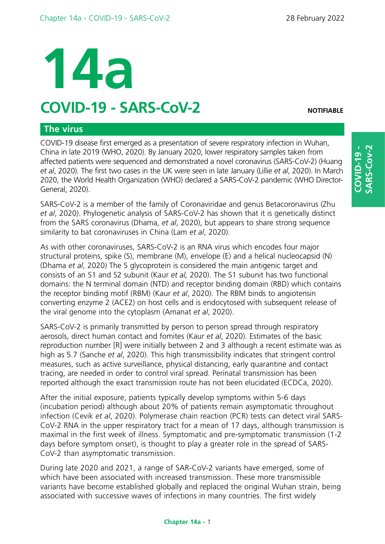# **14a**

# **COVID-19 - SARS-CoV-2 NOTIFIABLE**

# **The virus**

COVID-19 disease first emerged as a presentation of severe respiratory infection in Wuhan, China in late 2019 (WHO, 2020). By January 2020, lower respiratory samples taken from affected patients were sequenced and demonstrated a novel coronavirus (SARS-CoV-2) (Huang *et al*, 2020). The first two cases in the UK were seen in late January (Lillie *et al*, 2020). In March 2020, the World Health Organization (WHO) declared a SARS-CoV-2 pandemic (WHO Director-General, 2020).

SARS-CoV-2 is a member of the family of Coronaviridae and genus Betacoronavirus (Zhu *et al*, 2020). Phylogenetic analysis of SARS-CoV-2 has shown that it is genetically distinct from the SARS coronavirus (Dhama, *et al*, 2020), but appears to share strong sequence similarity to bat coronaviruses in China (Lam *et al*, 2020).

As with other coronaviruses, SARS-CoV-2 is an RNA virus which encodes four major structural proteins, spike (S), membrane (M), envelope (E) and a helical nucleocapsid (N) (Dhama *et al*, 2020) The S glycoprotein is considered the main antigenic target and consists of an S1 and S2 subunit (Kaur *et al,* 2020). The S1 subunit has two functional domains: the N terminal domain (NTD) and receptor binding domain (RBD) which contains the receptor binding motif (RBM) (Kaur *et al*, 2020). The RBM binds to angiotensin converting enzyme 2 (ACE2) on host cells and is endocytosed with subsequent release of the viral genome into the cytoplasm (Amanat *et al*, 2020).

SARS-CoV-2 is primarily transmitted by person to person spread through respiratory aerosols, direct human contact and fomites (Kaur *et al*, 2020). Estimates of the basic reproduction number [R] were initially between 2 and 3 although a recent estimate was as high as 5.7 (Sanche *et al*, 2020). This high transmissibility indicates that stringent control measures, such as active surveillance, physical distancing, early quarantine and contact tracing, are needed in order to control viral spread. Perinatal transmission has been reported although the exact transmission route has not been elucidated (ECDCa, 2020).

After the initial exposure, patients typically develop symptoms within 5-6 days (incubation period) although about 20% of patients remain asymptomatic throughout infection (Cevik *et al*, 2020). Polymerase chain reaction (PCR) tests can detect viral SARS-CoV-2 RNA in the upper respiratory tract for a mean of 17 days, although transmission is maximal in the first week of illness. Symptomatic and pre-symptomatic transmission (1-2 days before symptom onset), is thought to play a greater role in the spread of SARS-CoV-2 than asymptomatic transmission.

During late 2020 and 2021, a range of SAR-CoV-2 variants have emerged, some of which have been associated with increased transmission. These more transmissible variants have become established globally and replaced the original Wuhan strain, being associated with successive waves of infections in many countries. The first widely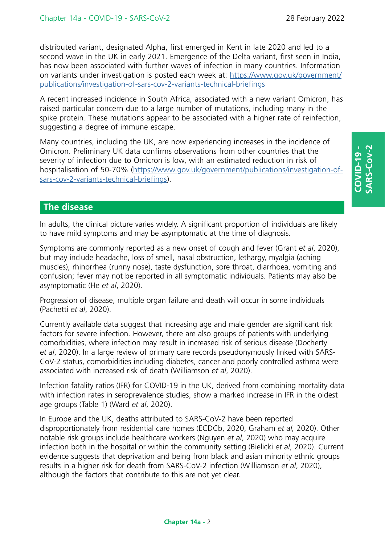distributed variant, designated Alpha, first emerged in Kent in late 2020 and led to a second wave in the UK in early 2021. Emergence of the Delta variant, first seen in India, has now been associated with further waves of infection in many countries. Information on variants under investigation is posted each week at: [https://www.gov.uk/government/](https://www.gov.uk/government/publications/investigation-of-sars-cov-2-variants-technical-briefings) [publications/investigation-of-sars-cov-2-variants-technical-briefings](https://www.gov.uk/government/publications/investigation-of-sars-cov-2-variants-technical-briefings)

A recent increased incidence in South Africa, associated with a new variant Omicron, has raised particular concern due to a large number of mutations, including many in the spike protein. These mutations appear to be associated with a higher rate of reinfection, suggesting a degree of immune escape.

Many countries, including the UK, are now experiencing increases in the incidence of Omicron. Preliminary UK data confirms observations from other countries that the severity of infection due to Omicron is low, with an estimated reduction in risk of hospitalisation of 50-70% ([https://www.gov.uk/government/publications/investigation-of](https://www.gov.uk/government/publications/investigation-of-sars-cov-2-variants-technical-briefings)[sars-cov-2-variants-technical-briefings](https://www.gov.uk/government/publications/investigation-of-sars-cov-2-variants-technical-briefings)).

# **The disease**

In adults, the clinical picture varies widely. A significant proportion of individuals are likely to have mild symptoms and may be asymptomatic at the time of diagnosis.

Symptoms are commonly reported as a new onset of cough and fever (Grant *et al*, 2020), but may include headache, loss of smell, nasal obstruction, lethargy, myalgia (aching muscles), rhinorrhea (runny nose), taste dysfunction, sore throat, diarrhoea, vomiting and confusion; fever may not be reported in all symptomatic individuals. Patients may also be asymptomatic (He *et al*, 2020).

Progression of disease, multiple organ failure and death will occur in some individuals (Pachetti *et al*, 2020).

Currently available data suggest that increasing age and male gender are significant risk factors for severe infection. However, there are also groups of patients with underlying comorbidities, where infection may result in increased risk of serious disease (Docherty *et al*, 2020). In a large review of primary care records pseudonymously linked with SARS-CoV-2 status, comorbidities including diabetes, cancer and poorly controlled asthma were associated with increased risk of death (Williamson *et al*, 2020).

Infection fatality ratios (IFR) for COVID-19 in the UK, derived from combining mortality data with infection rates in seroprevalence studies, show a marked increase in IFR in the oldest age groups (Table 1) (Ward *et al*, 2020).

In Europe and the UK, deaths attributed to SARS-CoV-2 have been reported disproportionately from residential care homes (ECDCb, 2020, Graham *et al,* 2020). Other notable risk groups include healthcare workers (Nguyen *et al*, 2020) who may acquire infection both in the hospital or within the community setting (Bielicki *et al*, 2020). Current evidence suggests that deprivation and being from black and asian minority ethnic groups results in a higher risk for death from SARS-CoV-2 infection (Williamson *et al*, 2020), although the factors that contribute to this are not yet clear.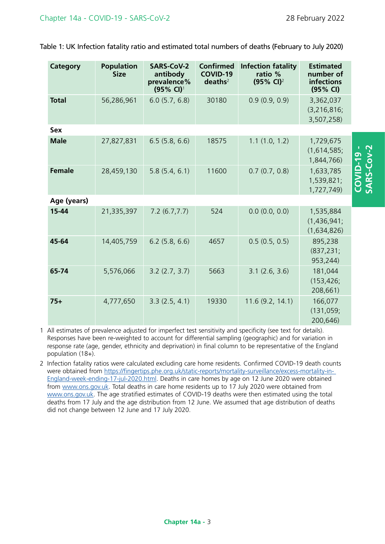| <b>Category</b> | <b>Population</b><br><b>Size</b> | <b>SARS-CoV-2</b><br>antibody<br>prevalence%<br>$(95\% \text{ Cl})^1$ | <b>Confirmed</b><br><b>COVID-19</b><br>deaths <sup>2</sup> | <b>Infection fatality</b><br>ratio %<br>$(95\% \text{ Cl})^2$ | <b>Estimated</b><br>number of<br>infections<br>(95% CI) |                          |
|-----------------|----------------------------------|-----------------------------------------------------------------------|------------------------------------------------------------|---------------------------------------------------------------|---------------------------------------------------------|--------------------------|
| <b>Total</b>    | 56,286,961                       | 6.0(5.7, 6.8)                                                         | 30180                                                      | 0.9(0.9, 0.9)                                                 | 3,362,037<br>(3,216,816;<br>3,507,258)                  |                          |
| <b>Sex</b>      |                                  |                                                                       |                                                            |                                                               |                                                         |                          |
| <b>Male</b>     | 27,827,831                       | 6.5(5.8, 6.6)                                                         | 18575                                                      | 1.1(1.0, 1.2)                                                 | 1,729,675<br>(1,614,585;<br>1,844,766)                  |                          |
| <b>Female</b>   | 28,459,130                       | 5.8(5.4, 6.1)                                                         | 11600                                                      | 0.7(0.7, 0.8)                                                 | 1,633,785<br>1,539,821;<br>1,727,749)                   | COVID-19 -<br>SARS-Cov-2 |
| Age (years)     |                                  |                                                                       |                                                            |                                                               |                                                         |                          |
| $15 - 44$       | 21,335,397                       | 7.2(6.7, 7.7)                                                         | 524                                                        | 0.0(0.0, 0.0)                                                 | 1,535,884<br>(1,436,941;<br>(1,634,826)                 |                          |
| 45-64           | 14,405,759                       | $6.2$ (5.8, 6.6)                                                      | 4657                                                       | 0.5(0.5, 0.5)                                                 | 895,238<br>(837, 231)<br>953,244)                       |                          |
| 65-74           | 5,576,066                        | 3.2(2.7, 3.7)                                                         | 5663                                                       | $3.1$ (2.6, 3.6)                                              | 181,044<br>(153, 426)<br>208,661)                       |                          |
| $75+$           | 4,777,650                        | 3.3(2.5, 4.1)                                                         | 19330                                                      | 11.6(9.2, 14.1)                                               | 166,077<br>(131, 059)<br>200,646)                       |                          |

Table 1: UK Infection fatality ratio and estimated total numbers of deaths (February to July 2020)

1 All estimates of prevalence adjusted for imperfect test sensitivity and specificity (see text for details). Responses have been re-weighted to account for differential sampling (geographic) and for variation in response rate (age, gender, ethnicity and deprivation) in final column to be representative of the England population (18+).

2 Infection fatality ratios were calculated excluding care home residents. Confirmed COVID-19 death counts were obtained from [https://fingertips.phe.org.uk/static-reports/mortality-surveillance/excess-mortality-in-](https://fingertips.phe.org.uk/static-reports/mortality-surveillance/excess-mortality-in-England-week-ending-17-jul-2020.html)[England-week-ending-17-jul-2020.html.](https://fingertips.phe.org.uk/static-reports/mortality-surveillance/excess-mortality-in-England-week-ending-17-jul-2020.html) Deaths in care homes by age on 12 June 2020 were obtained from [www.ons.gov.uk.](https://www.ons.gov.uk/peoplepopulationandcommunity/birthsdeathsandmarriages/deaths/articles/deathsinvolvingcovid19inthecaresectorenglandandwales/deathsoccurringupto12june2020andregisteredupto20june2020provisional) Total deaths in care home residents up to 17 July 2020 were obtained from [www.ons.gov.uk.](https://www.ons.gov.uk/peoplepopulationandcommunity/birthsdeathsandmarriages/deaths/datasets/numberofdeathsincarehomesnotifiedtothecarequalitycommissionengland/
) The age stratified estimates of COVID-19 deaths were then estimated using the total deaths from 17 July and the age distribution from 12 June. We assumed that age distribution of deaths did not change between 12 June and 17 July 2020.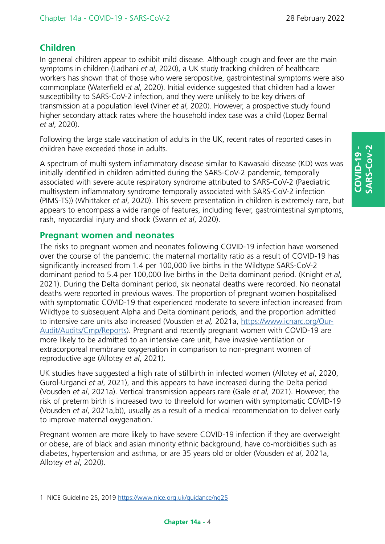# **Children**

In general children appear to exhibit mild disease. Although cough and fever are the main symptoms in children (Ladhani *et al*, 2020), a UK study tracking children of healthcare workers has shown that of those who were seropositive, gastrointestinal symptoms were also commonplace (Waterfield *et al*, 2020). Initial evidence suggested that children had a lower susceptibility to SARS-CoV-2 infection, and they were unlikely to be key drivers of transmission at a population level (Viner *et al*, 2020). However, a prospective study found higher secondary attack rates where the household index case was a child (Lopez Bernal *et al*, 2020).

Following the large scale vaccination of adults in the UK, recent rates of reported cases in children have exceeded those in adults.

A spectrum of multi system inflammatory disease similar to Kawasaki disease (KD) was was initially identified in children admitted during the SARS-CoV-2 pandemic, temporally associated with severe acute respiratory syndrome attributed to SARS-CoV-2 (Paediatric multisystem inflammatory syndrome temporally associated with SARS-CoV-2 infection (PIMS-TS)) (Whittaker *et al*, 2020). This severe presentation in children is extremely rare, but appears to encompass a wide range of features, including fever, gastrointestinal symptoms, rash, myocardial injury and shock (Swann *et al*, 2020).

# **Pregnant women and neonates**

The risks to pregnant women and neonates following COVID-19 infection have worsened over the course of the pandemic: the maternal mortality ratio as a result of COVID-19 has significantly increased from 1.4 per 100,000 live births in the Wildtype SARS-CoV-2 dominant period to 5.4 per 100,000 live births in the Delta dominant period. (Knight *et al*, 2021). During the Delta dominant period, six neonatal deaths were recorded. No neonatal deaths were reported in previous waves. The proportion of pregnant women hospitalised with symptomatic COVID-19 that experienced moderate to severe infection increased from Wildtype to subsequent Alpha and Delta dominant periods, and the proportion admitted to intensive care units also increased (Vousden *et al,* 2021a, [https://www.icnarc.org/Our-](https://www.icnarc.org/Our-Audit/Audits/Cmp/Reports)[Audit/Audits/Cmp/Reports\)](https://www.icnarc.org/Our-Audit/Audits/Cmp/Reports). Pregnant and recently pregnant women with COVID-19 are more likely to be admitted to an intensive care unit, have invasive ventilation or extracorporeal membrane oxygenation in comparison to non-pregnant women of reproductive age (Allotey *et al*, 2021).

UK studies have suggested a high rate of stillbirth in infected women (Allotey *et al*, 2020, Gurol-Urganci *et al*, 2021), and this appears to have increased during the Delta period (Vousden *et al*, 2021a). Vertical transmission appears rare (Gale *et al,* 2021). However, the risk of preterm birth is increased two to threefold for women with symptomatic COVID-19 (Vousden *et al*, 2021a,b)), usually as a result of a medical recommendation to deliver early to improve maternal oxygenation.<sup>1</sup>

Pregnant women are more likely to have severe COVID-19 infection if they are overweight or obese, are of black and asian minority ethnic background, have co-morbidities such as diabetes, hypertension and asthma, or are 35 years old or older (Vousden *et al*, 2021a, Allotey *et al*, 2020).

<sup>1</sup> NICE Guideline 25, 2019 <https://www.nice.org.uk/guidance/ng25>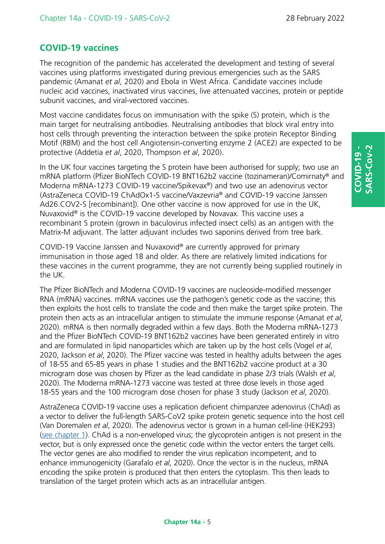# **COVID-19 vaccines**

The recognition of the pandemic has accelerated the development and testing of several vaccines using platforms investigated during previous emergencies such as the SARS pandemic (Amanat *et al*, 2020) and Ebola in West Africa. Candidate vaccines include nucleic acid vaccines, inactivated virus vaccines, live attenuated vaccines, protein or peptide subunit vaccines, and viral-vectored vaccines.

Most vaccine candidates focus on immunisation with the spike (S) protein, which is the main target for neutralising antibodies. Neutralising antibodies that block viral entry into host cells through preventing the interaction between the spike protein Receptor Binding Motif (RBM) and the host cell Angiotensin-converting enzyme 2 (ACE2) are expected to be protective (Addetia *et al*, 2020, Thompson *et al*, 2020).

In the UK four vaccines targeting the S protein have been authorised for supply; two use an mRNA platform (Pfizer BioNTech COVID-19 BNT162b2 vaccine (tozinameran)/Comirnaty® and Moderna mRNA-1273 COVID-19 vaccine/Spikevax®) and two use an adenovirus vector (AstraZeneca COVID-19 ChAdOx1-S vaccine/Vaxzevria® and COVID-19 vaccine Janssen Ad26.COV2-S [recombinant]). One other vaccine is now approved for use in the UK, Nuvaxovid® is the COVID-19 vaccine developed by Novavax. This vaccine uses a recombinant S protein (grown in baculovirus infected insect cells) as an antigen with the Matrix-M adjuvant. The latter adjuvant includes two saponins derived from tree bark.

COVID-19 Vaccine Janssen and Nuvaxovid® are currently approved for primary immunisation in those aged 18 and older. As there are relatively limited indications for these vaccines in the current programme, they are not currently being supplied routinely in the UK.

The Pfizer BioNTech and Moderna COVID-19 vaccines are nucleoside-modified messenger RNA (mRNA) vaccines. mRNA vaccines use the pathogen's genetic code as the vaccine; this then exploits the host cells to translate the code and then make the target spike protein. The protein then acts as an intracellular antigen to stimulate the immune response (Amanat *et al*, 2020). mRNA is then normally degraded within a few days. Both the Moderna mRNA-1273 and the Pfizer BioNTech COVID-19 BNT162b2 vaccines have been generated entirely in vitro and are formulated in lipid nanoparticles which are taken up by the host cells (Vogel *et al*, 2020, Jackson *et al*, 2020). The Pfizer vaccine was tested in healthy adults between the ages of 18-55 and 65-85 years in phase 1 studies and the BNT162b2 vaccine product at a 30 microgram dose was chosen by Pfizer as the lead candidate in phase 2/3 trials (Walsh *et al*, 2020). The Moderna mRNA-1273 vaccine was tested at three dose levels in those aged 18-55 years and the 100 microgram dose chosen for phase 3 study (Jackson *et al*, 2020).

AstraZeneca COVID-19 vaccine uses a replication deficient chimpanzee adenovirus (ChAd) as a vector to deliver the full-length SARS-CoV2 spike protein genetic sequence into the host cell (Van Doremalen *et al*, 2020). The adenovirus vector is grown in a human cell-line (HEK293) [\(see chapter 1](https://www.gov.uk/government/publications/immunity-and-how-vaccines-work-the-green-book-chapter-1)). ChAd is a non-enveloped virus; the glycoprotein antigen is not present in the vector, but is only expressed once the genetic code within the vector enters the target cells. The vector genes are also modified to render the virus replication incompetent, and to enhance immunogenicity (Garafalo *et al*, 2020). Once the vector is in the nucleus, mRNA encoding the spike protein is produced that then enters the cytoplasm. This then leads to translation of the target protein which acts as an intracellular antigen.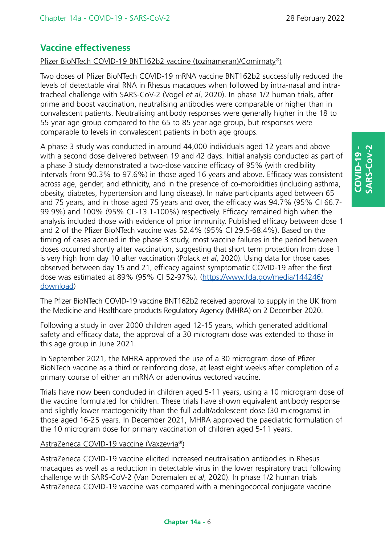# **Vaccine effectiveness**

### Pfizer BioNTech COVID-19 BNT162b2 vaccine (tozinameran)/Comirnaty®)

Two doses of Pfizer BioNTech COVID-19 mRNA vaccine BNT162b2 successfully reduced the levels of detectable viral RNA in Rhesus macaques when followed by intra-nasal and intratracheal challenge with SARS-CoV-2 (Vogel *et al*, 2020). In phase 1/2 human trials, after prime and boost vaccination, neutralising antibodies were comparable or higher than in convalescent patients. Neutralising antibody responses were generally higher in the 18 to 55 year age group compared to the 65 to 85 year age group, but responses were comparable to levels in convalescent patients in both age groups.

A phase 3 study was conducted in around 44,000 individuals aged 12 years and above with a second dose delivered between 19 and 42 days. Initial analysis conducted as part of a phase 3 study demonstrated a two-dose vaccine efficacy of 95% (with credibility intervals from 90.3% to 97.6%) in those aged 16 years and above. Efficacy was consistent across age, gender, and ethnicity, and in the presence of co-morbidities (including asthma, obesity, diabetes, hypertension and lung disease). In naïve participants aged between 65 and 75 years, and in those aged 75 years and over, the efficacy was 94.7% (95% CI 66.7- 99.9%) and 100% (95% CI -13.1-100%) respectively. Efficacy remained high when the analysis included those with evidence of prior immunity. Published efficacy between dose 1 and 2 of the Pfizer BioNTech vaccine was 52.4% (95% CI 29.5-68.4%). Based on the timing of cases accrued in the phase 3 study, most vaccine failures in the period between doses occurred shortly after vaccination, suggesting that short term protection from dose 1 is very high from day 10 after vaccination (Polack *et al*, 2020). Using data for those cases observed between day 15 and 21, efficacy against symptomatic COVID-19 after the first dose was estimated at 89% (95% CI 52-97%). [\(https://www.fda.gov/media/144246/](https://www.fda.gov/media/144246/download) [download\)](https://www.fda.gov/media/144246/download)

The Pfizer BioNTech COVID-19 vaccine BNT162b2 received approval to supply in the UK from the Medicine and Healthcare products Regulatory Agency (MHRA) on 2 December 2020.

Following a study in over 2000 children aged 12-15 years, which generated additional safety and efficacy data, the approval of a 30 microgram dose was extended to those in this age group in June 2021.

In September 2021, the MHRA approved the use of a 30 microgram dose of Pfizer BioNTech vaccine as a third or reinforcing dose, at least eight weeks after completion of a primary course of either an mRNA or adenovirus vectored vaccine.

Trials have now been concluded in children aged 5-11 years, using a 10 microgram dose of the vaccine formulated for children. These trials have shown equivalent antibody response and slightly lower reactogenicity than the full adult/adolescent dose (30 micrograms) in those aged 16-25 years. In December 2021, MHRA approved the paediatric formulation of the 10 microgram dose for primary vaccination of children aged 5-11 years.

### AstraZeneca COVID-19 vaccine (Vaxzevria®)

AstraZeneca COVID-19 vaccine elicited increased neutralisation antibodies in Rhesus macaques as well as a reduction in detectable virus in the lower respiratory tract following challenge with SARS-CoV-2 (Van Doremalen *et al*, 2020). In phase 1/2 human trials AstraZeneca COVID-19 vaccine was compared with a meningococcal conjugate vaccine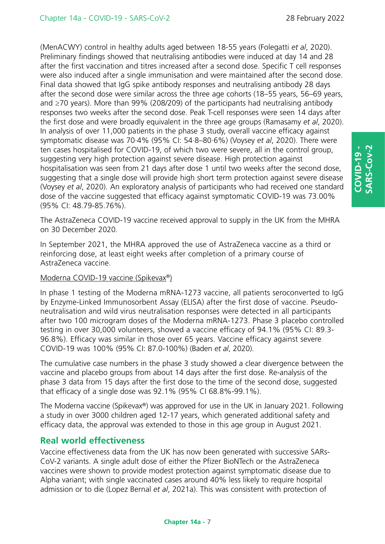(MenACWY) control in healthy adults aged between 18-55 years (Folegatti *et al*, 2020). Preliminary findings showed that neutralising antibodies were induced at day 14 and 28 after the first vaccination and titres increased after a second dose. Specific T cell responses were also induced after a single immunisation and were maintained after the second dose. Final data showed that IgG spike antibody responses and neutralising antibody 28 days after the second dose were similar across the three age cohorts (18–55 years, 56–69 years, and ≥70 years). More than 99% (208/209) of the participants had neutralising antibody responses two weeks after the second dose. Peak T-cell responses were seen 14 days after the first dose and were broadly equivalent in the three age groups (Ramasamy *et al*, 2020). In analysis of over 11,000 patients in the phase 3 study, overall vaccine efficacy against symptomatic disease was 70·4% (95% CI: 54·8–80·6%) (Voysey *et al*, 2020). There were ten cases hospitalised for COVID-19, of which two were severe, all in the control group, suggesting very high protection against severe disease. High protection against hospitalisation was seen from 21 days after dose 1 until two weeks after the second dose, suggesting that a single dose will provide high short term protection against severe disease (Voysey *et al*, 2020). An exploratory analysis of participants who had received one standard dose of the vaccine suggested that efficacy against symptomatic COVID-19 was 73.00% (95% CI: 48.79-85.76%).

The AstraZeneca COVID-19 vaccine received approval to supply in the UK from the MHRA on 30 December 2020.

In September 2021, the MHRA approved the use of AstraZeneca vaccine as a third or reinforcing dose, at least eight weeks after completion of a primary course of AstraZeneca vaccine.

### Moderna COVID-19 vaccine (Spikevax®)

In phase 1 testing of the Moderna mRNA-1273 vaccine, all patients seroconverted to IgG by Enzyme-Linked Immunosorbent Assay (ELISA) after the first dose of vaccine. Pseudoneutralisation and wild virus neutralisation responses were detected in all participants after two 100 microgram doses of the Moderna mRNA-1273. Phase 3 placebo controlled testing in over 30,000 volunteers, showed a vaccine efficacy of 94.1% (95% CI: 89.3- 96.8%). Efficacy was similar in those over 65 years. Vaccine efficacy against severe COVID-19 was 100% (95% CI: 87.0-100%) (Baden *et al*, 2020).

The cumulative case numbers in the phase 3 study showed a clear divergence between the vaccine and placebo groups from about 14 days after the first dose. Re-analysis of the phase 3 data from 15 days after the first dose to the time of the second dose, suggested that efficacy of a single dose was 92.1% (95% CI 68.8%-99.1%).

The Moderna vaccine (Spikevax®) was approved for use in the UK in January 2021. Following a study in over 3000 children aged 12-17 years, which generated additional safety and efficacy data, the approval was extended to those in this age group in August 2021.

# **Real world effectiveness**

Vaccine effectiveness data from the UK has now been generated with successive SARs-CoV-2 variants. A single adult dose of either the Pfizer BioNTech or the AstraZeneca vaccines were shown to provide modest protection against symptomatic disease due to Alpha variant; with single vaccinated cases around 40% less likely to require hospital admission or to die (Lopez Bernal *et al*, 2021a). This was consistent with protection of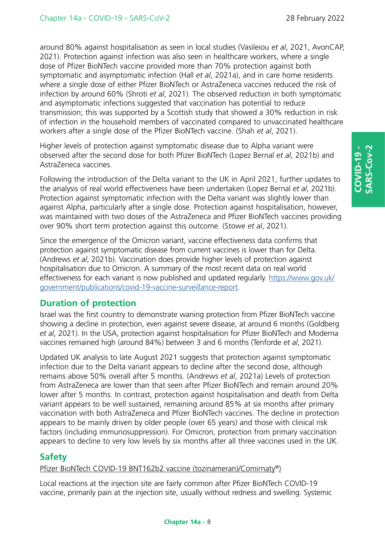around 80% against hospitalisation as seen in local studies (Vasileiou *et al*, 2021, AvonCAP, 2021). Protection against infection was also seen in healthcare workers, where a single dose of Pfizer BioNTech vaccine provided more than 70% protection against both symptomatic and asymptomatic infection (Hall *et al*, 2021a), and in care home residents where a single dose of either Pfizer BioNTech or AstraZeneca vaccines reduced the risk of infection by around 60% (Shroti *et al*, 2021). The observed reduction in both symptomatic and asymptomatic infections suggested that vaccination has potential to reduce transmission; this was supported by a Scottish study that showed a 30% reduction in risk of infection in the household members of vaccinated compared to unvaccinated healthcare workers after a single dose of the Pfizer BioNTech vaccine. (Shah *et al*, 2021).

Higher levels of protection against symptomatic disease due to Alpha variant were observed after the second dose for both Pfizer BioNTech (Lopez Bernal *et al*, 2021b) and AstraZeneca vaccines.

Following the introduction of the Delta variant to the UK in April 2021, further updates to the analysis of real world effectiveness have been undertaken (Lopez Bernal *et al*, 2021b). Protection against symptomatic infection with the Delta variant was slightly lower than against Alpha, particularly after a single dose. Protection against hospitalisation, however, was maintained with two doses of the AstraZeneca and Pfizer BioNTech vaccines providing over 90% short term protection against this outcome. (Stowe *et al*, 2021).

Since the emergence of the Omicron variant, vaccine effectiveness data confirms that protection against symptomatic disease from current vaccines is lower than for Delta. (Andrews *et al*, 2021b). Vaccination does provide higher levels of protection against hospitalisation due to Omicron. A summary of the most recent data on real world effectiveness for each variant is now published and updated regularly. [https://www.gov.uk/](https://www.gov.uk/government/publications/covid-19-vaccine-surveillance-report) [government/publications/covid-19-vaccine-surveillance-report.](https://www.gov.uk/government/publications/covid-19-vaccine-surveillance-report)

# **Duration of protection**

Israel was the first country to demonstrate waning protection from Pfizer BioNTech vaccine showing a decline in protection, even against severe disease, at around 6 months (Goldberg *et al*, 2021). In the USA, protection against hospitalisation for Pfizer BioNTech and Moderna vaccines remained high (around 84%) between 3 and 6 months (Tenforde *et al*, 2021).

Updated UK analysis to late August 2021 suggests that protection against symptomatic infection due to the Delta variant appears to decline after the second dose, although remains above 50% overall after 5 months. (Andrews *et al*, 2021a) Levels of protection from AstraZeneca are lower than that seen after Pfizer BioNTech and remain around 20% lower after 5 months. In contrast, protection against hospitalisation and death from Delta variant appears to be well sustained, remaining around 85% at six months after primary vaccination with both AstraZeneca and Pfizer BioNTech vaccines. The decline in protection appears to be mainly driven by older people (over 65 years) and those with clinical risk factors (including immunosuppression). For Omicron, protection from primary vaccination appears to decline to very low levels by six months after all three vaccines used in the UK.

# **Safety**

### Pfizer BioNTech COVID-19 BNT162b2 vaccine (tozinameran)/Comirnaty®)

Local reactions at the injection site are fairly common after Pfizer BioNTech COVID-19 vaccine, primarily pain at the injection site, usually without redness and swelling. Systemic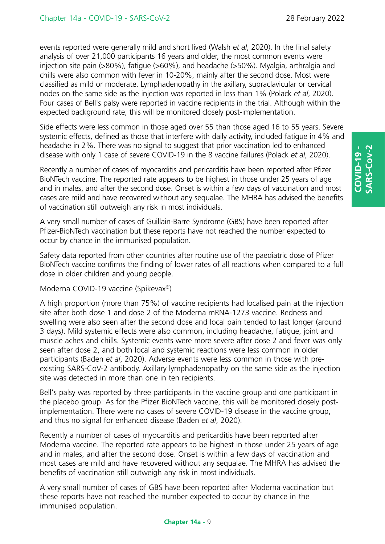events reported were generally mild and short lived (Walsh *et al*, 2020). In the final safety analysis of over 21,000 participants 16 years and older, the most common events were injection site pain (>80%), fatigue (>60%), and headache (>50%). Myalgia, arthralgia and chills were also common with fever in 10-20%, mainly after the second dose. Most were classified as mild or moderate. Lymphadenopathy in the axillary, supraclavicular or cervical nodes on the same side as the injection was reported in less than 1% (Polack *et al*, 2020). Four cases of Bell's palsy were reported in vaccine recipients in the trial. Although within the expected background rate, this will be monitored closely post-implementation.

Side effects were less common in those aged over 55 than those aged 16 to 55 years. Severe systemic effects, defined as those that interfere with daily activity, included fatigue in 4% and headache in 2%. There was no signal to suggest that prior vaccination led to enhanced disease with only 1 case of severe COVID-19 in the 8 vaccine failures (Polack *et al*, 2020).

Recently a number of cases of myocarditis and pericarditis have been reported after Pfizer BioNTech vaccine. The reported rate appears to be highest in those under 25 years of age and in males, and after the second dose. Onset is within a few days of vaccination and most cases are mild and have recovered without any sequalae. The MHRA has advised the benefits of vaccination still outweigh any risk in most individuals.

A very small number of cases of Guillain-Barre Syndrome (GBS) have been reported after Pfizer-BioNTech vaccination but these reports have not reached the number expected to occur by chance in the immunised population.

Safety data reported from other countries after routine use of the paediatric dose of Pfizer BioNTech vaccine confirms the finding of lower rates of all reactions when compared to a full dose in older children and young people.

### Moderna COVID-19 vaccine (Spikevax®)

A high proportion (more than 75%) of vaccine recipients had localised pain at the injection site after both dose 1 and dose 2 of the Moderna mRNA-1273 vaccine. Redness and swelling were also seen after the second dose and local pain tended to last longer (around 3 days). Mild systemic effects were also common, including headache, fatigue, joint and muscle aches and chills. Systemic events were more severe after dose 2 and fever was only seen after dose 2, and both local and systemic reactions were less common in older participants (Baden *et al*, 2020). Adverse events were less common in those with preexisting SARS-CoV-2 antibody. Axillary lymphadenopathy on the same side as the injection site was detected in more than one in ten recipients.

Bell's palsy was reported by three participants in the vaccine group and one participant in the placebo group. As for the Pfizer BioNTech vaccine, this will be monitored closely postimplementation. There were no cases of severe COVID-19 disease in the vaccine group, and thus no signal for enhanced disease (Baden *et al*, 2020).

Recently a number of cases of myocarditis and pericarditis have been reported after Moderna vaccine. The reported rate appears to be highest in those under 25 years of age and in males, and after the second dose. Onset is within a few days of vaccination and most cases are mild and have recovered without any sequalae. The MHRA has advised the benefits of vaccination still outweigh any risk in most individuals.

A very small number of cases of GBS have been reported after Moderna vaccination but these reports have not reached the number expected to occur by chance in the immunised population.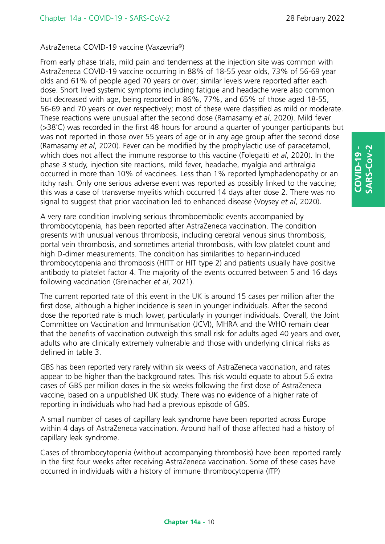### AstraZeneca COVID-19 vaccine (Vaxzevria®)

From early phase trials, mild pain and tenderness at the injection site was common with AstraZeneca COVID-19 vaccine occurring in 88% of 18-55 year olds, 73% of 56-69 year olds and 61% of people aged 70 years or over; similar levels were reported after each dose. Short lived systemic symptoms including fatigue and headache were also common but decreased with age, being reported in 86%, 77%, and 65% of those aged 18-55, 56-69 and 70 years or over respectively; most of these were classified as mild or moderate. These reactions were unusual after the second dose (Ramasamy *et al*, 2020). Mild fever (>38˚C) was recorded in the first 48 hours for around a quarter of younger participants but was not reported in those over 55 years of age or in any age group after the second dose (Ramasamy *et al*, 2020). Fever can be modified by the prophylactic use of paracetamol, which does not affect the immune response to this vaccine (Folegatti *et al*, 2020). In the phase 3 study, injection site reactions, mild fever, headache, myalgia and arthralgia occurred in more than 10% of vaccinees. Less than 1% reported lymphadenopathy or an itchy rash. Only one serious adverse event was reported as possibly linked to the vaccine; this was a case of transverse myelitis which occurred 14 days after dose 2. There was no signal to suggest that prior vaccination led to enhanced disease (Voysey *et al*, 2020).

A very rare condition involving serious thromboembolic events accompanied by thrombocytopenia, has been reported after AstraZeneca vaccination. The condition presents with unusual venous thrombosis, including cerebral venous sinus thrombosis, portal vein thrombosis, and sometimes arterial thrombosis, with low platelet count and high D-dimer measurements. The condition has similarities to heparin-induced thrombocytopenia and thrombosis (HITT or HIT type 2) and patients usually have positive antibody to platelet factor 4. The majority of the events occurred between 5 and 16 days following vaccination (Greinacher *et al*, 2021).

The current reported rate of this event in the UK is around 15 cases per million after the first dose, although a higher incidence is seen in younger individuals. After the second dose the reported rate is much lower, particularly in younger individuals. Overall, the Joint Committee on Vaccination and Immunisation (JCVI), MHRA and the WHO remain clear that the benefits of vaccination outweigh this small risk for adults aged 40 years and over, adults who are clinically extremely vulnerable and those with underlying clinical risks as defined in table 3.

GBS has been reported very rarely within six weeks of AstraZeneca vaccination, and rates appear to be higher than the background rates. This risk would equate to about 5.6 extra cases of GBS per million doses in the six weeks following the first dose of AstraZeneca vaccine, based on a unpublished UK study. There was no evidence of a higher rate of reporting in individuals who had had a previous episode of GBS.

A small number of cases of capillary leak syndrome have been reported across Europe within 4 days of AstraZeneca vaccination. Around half of those affected had a history of capillary leak syndrome.

Cases of thrombocytopenia (without accompanying thrombosis) have been reported rarely in the first four weeks after receiving AstraZeneca vaccination. Some of these cases have occurred in individuals with a history of immune thrombocytopenia (ITP)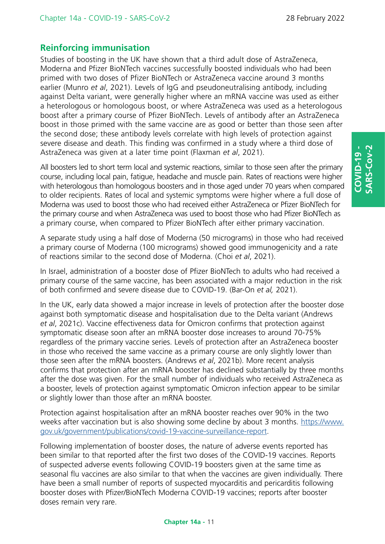# **Reinforcing immunisation**

Studies of boosting in the UK have shown that a third adult dose of AstraZeneca, Moderna and Pfizer BioNTech vaccines successfully boosted individuals who had been primed with two doses of Pfizer BioNTech or AstraZeneca vaccine around 3 months earlier (Munro *et al*, 2021). Levels of IgG and pseudoneutralising antibody, including against Delta variant, were generally higher where an mRNA vaccine was used as either a heterologous or homologous boost, or where AstraZeneca was used as a heterologous boost after a primary course of Pfizer BioNTech. Levels of antibody after an AstraZeneca boost in those primed with the same vaccine are as good or better than those seen after the second dose; these antibody levels correlate with high levels of protection against severe disease and death. This finding was confirmed in a study where a third dose of AstraZeneca was given at a later time point (Flaxman *et al*, 2021).

All boosters led to short term local and systemic reactions, similar to those seen after the primary course, including local pain, fatigue, headache and muscle pain. Rates of reactions were higher with heterologous than homologous boosters and in those aged under 70 years when compared to older recipients. Rates of local and systemic symptoms were higher where a full dose of Moderna was used to boost those who had received either AstraZeneca or Pfizer BioNTech for the primary course and when AstraZeneca was used to boost those who had Pfizer BioNTech as a primary course, when compared to Pfizer BioNTech after either primary vaccination.

A separate study using a half dose of Moderna (50 micrograms) in those who had received a primary course of Moderna (100 micrograms) showed good immunogenicity and a rate of reactions similar to the second dose of Moderna. (Choi *et al*, 2021).

In Israel, administration of a booster dose of Pfizer BioNTech to adults who had received a primary course of the same vaccine, has been associated with a major reduction in the risk of both confirmed and severe disease due to COVID-19. (Bar-On *et al,* 2021).

In the UK, early data showed a major increase in levels of protection after the booster dose against both symptomatic disease and hospitalisation due to the Delta variant (Andrews *et al*, 2021c). Vaccine effectiveness data for Omicron confirms that protection against symptomatic disease soon after an mRNA booster dose increases to around 70-75% regardless of the primary vaccine series. Levels of protection after an AstraZeneca booster in those who received the same vaccine as a primary course are only slightly lower than those seen after the mRNA boosters. (Andrews *et al*, 2021b). More recent analysis confirms that protection after an mRNA booster has declined substantially by three months after the dose was given. For the small number of individuals who received AstraZeneca as a booster, levels of protection against symptomatic Omicron infection appear to be similar or slightly lower than those after an mRNA booster.

Protection against hospitalisation after an mRNA booster reaches over 90% in the two weeks after vaccination but is also showing some decline by about 3 months. [https://www.](https://www.gov.uk/government/publications/covid-19-vaccine-surveillance-report) [gov.uk/government/publications/covid-19-vaccine-surveillance-report.](https://www.gov.uk/government/publications/covid-19-vaccine-surveillance-report)

Following implementation of booster doses, the nature of adverse events reported has been similar to that reported after the first two doses of the COVID-19 vaccines. Reports of suspected adverse events following COVID-19 boosters given at the same time as seasonal flu vaccines are also similar to that when the vaccines are given individually. There have been a small number of reports of suspected myocarditis and pericarditis following booster doses with Pfizer/BioNTech Moderna COVID-19 vaccines; reports after booster doses remain very rare.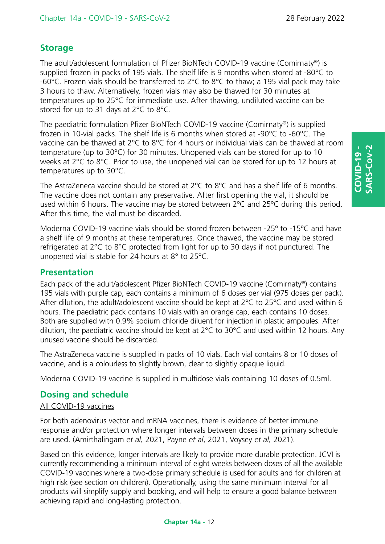# **Storage**

The adult/adolescent formulation of Pfizer BioNTech COVID-19 vaccine (Comirnaty®) is supplied frozen in packs of 195 vials. The shelf life is 9 months when stored at -80°C to -60°C. Frozen vials should be transferred to 2°C to 8°C to thaw; a 195 vial pack may take 3 hours to thaw. Alternatively, frozen vials may also be thawed for 30 minutes at temperatures up to 25°C for immediate use. After thawing, undiluted vaccine can be stored for up to 31 days at 2°C to 8°C.

The paediatric formulation Pfizer BioNTech COVID-19 vaccine (Comirnaty®) is supplied frozen in 10-vial packs. The shelf life is 6 months when stored at -90°C to -60°C. The vaccine can be thawed at 2°C to 8°C for 4 hours or individual vials can be thawed at room temperature (up to 30°C) for 30 minutes. Unopened vials can be stored for up to 10 weeks at 2°C to 8°C. Prior to use, the unopened vial can be stored for up to 12 hours at temperatures up to 30°C.

The AstraZeneca vaccine should be stored at 2°C to 8°C and has a shelf life of 6 months. The vaccine does not contain any preservative. After first opening the vial, it should be used within 6 hours. The vaccine may be stored between 2ºC and 25ºC during this period. After this time, the vial must be discarded.

Moderna COVID-19 vaccine vials should be stored frozen between -25º to -15ºC and have a shelf life of 9 months at these temperatures. Once thawed, the vaccine may be stored refrigerated at 2°C to 8°C protected from light for up to 30 days if not punctured. The unopened vial is stable for 24 hours at 8° to 25°C.

### **Presentation**

Each pack of the adult/adolescent Pfizer BioNTech COVID-19 vaccine (Comirnaty®) contains 195 vials with purple cap, each contains a minimum of 6 doses per vial (975 doses per pack). After dilution, the adult/adolescent vaccine should be kept at 2°C to 25°C and used within 6 hours. The paediatric pack contains 10 vials with an orange cap, each contains 10 doses. Both are supplied with 0.9% sodium chloride diluent for injection in plastic ampoules. After dilution, the paediatric vaccine should be kept at 2°C to 30°C and used within 12 hours. Any unused vaccine should be discarded.

The AstraZeneca vaccine is supplied in packs of 10 vials. Each vial contains 8 or 10 doses of vaccine, and is a colourless to slightly brown, clear to slightly opaque liquid.

Moderna COVID-19 vaccine is supplied in multidose vials containing 10 doses of 0.5ml.

# **Dosing and schedule**

### All COVID-19 vaccines

For both adenovirus vector and mRNA vaccines, there is evidence of better immune response and/or protection where longer intervals between doses in the primary schedule are used. (Amirthalingam *et al,* 2021, Payne *et al*, 2021, Voysey *et al,* 2021).

Based on this evidence, longer intervals are likely to provide more durable protection. JCVI is currently recommending a minimum interval of eight weeks between doses of all the available COVID-19 vaccines where a two-dose primary schedule is used for adults and for children at high risk (see section on children). Operationally, using the same minimum interval for all products will simplify supply and booking, and will help to ensure a good balance between achieving rapid and long-lasting protection.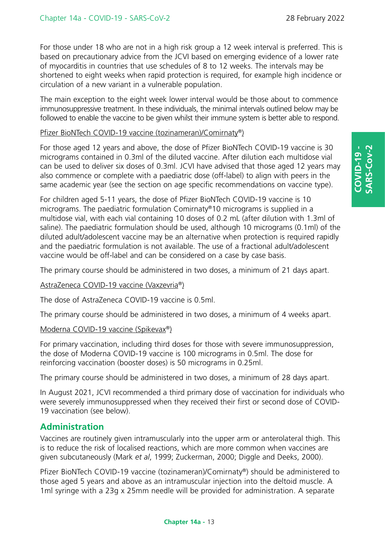For those under 18 who are not in a high risk group a 12 week interval is preferred. This is based on precautionary advice from the JCVI based on emerging evidence of a lower rate of myocarditis in countries that use schedules of 8 to 12 weeks. The intervals may be shortened to eight weeks when rapid protection is required, for example high incidence or circulation of a new variant in a vulnerable population.

The main exception to the eight week lower interval would be those about to commence immunosuppressive treatment. In these individuals, the minimal intervals outlined below may be followed to enable the vaccine to be given whilst their immune system is better able to respond.

### Pfizer BioNTech COVID-19 vaccine (tozinameran)/Comirnaty®)

For those aged 12 years and above, the dose of Pfizer BioNTech COVID-19 vaccine is 30 micrograms contained in 0.3ml of the diluted vaccine. After dilution each multidose vial can be used to deliver six doses of 0.3ml. JCVI have advised that those aged 12 years may also commence or complete with a paediatric dose (off-label) to align with peers in the same academic year (see the section on age specific recommendations on vaccine type).

For children aged 5-11 years, the dose of Pfizer BioNTech COVID-19 vaccine is 10 micrograms. The paediatric formulation Comirnaty®10 micrograms is supplied in a multidose vial, with each vial containing 10 doses of 0.2 mL (after dilution with 1.3ml of saline). The paediatric formulation should be used, although 10 micrograms (0.1ml) of the diluted adult/adolescent vaccine may be an alternative when protection is required rapidly and the paediatric formulation is not available. The use of a fractional adult/adolescent vaccine would be off-label and can be considered on a case by case basis.

The primary course should be administered in two doses, a minimum of 21 days apart.

### AstraZeneca COVID-19 vaccine (Vaxzevria®)

The dose of AstraZeneca COVID-19 vaccine is 0.5ml.

The primary course should be administered in two doses, a minimum of 4 weeks apart.

### Moderna COVID-19 vaccine (Spikevax®)

For primary vaccination, including third doses for those with severe immunosuppression, the dose of Moderna COVID-19 vaccine is 100 micrograms in 0.5ml. The dose for reinforcing vaccination (booster doses) is 50 micrograms in 0.25ml.

The primary course should be administered in two doses, a minimum of 28 days apart.

In August 2021, JCVI recommended a third primary dose of vaccination for individuals who were severely immunosuppressed when they received their first or second dose of COVID-19 vaccination (see below).

### **Administration**

Vaccines are routinely given intramuscularly into the upper arm or anterolateral thigh. This is to reduce the risk of localised reactions, which are more common when vaccines are given subcutaneously (Mark *et al*, 1999; Zuckerman, 2000; Diggle and Deeks, 2000).

Pfizer BioNTech COVID-19 vaccine (tozinameran)/Comirnaty®) should be administered to those aged 5 years and above as an intramuscular injection into the deltoid muscle. A 1ml syringe with a 23g x 25mm needle will be provided for administration. A separate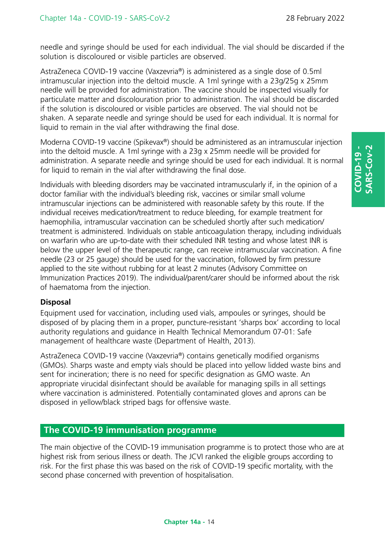needle and syringe should be used for each individual. The vial should be discarded if the solution is discoloured or visible particles are observed.

AstraZeneca COVID-19 vaccine (Vaxzevria®) is administered as a single dose of 0.5ml intramuscular injection into the deltoid muscle. A 1ml syringe with a 23g/25g x 25mm needle will be provided for administration. The vaccine should be inspected visually for particulate matter and discolouration prior to administration. The vial should be discarded if the solution is discoloured or visible particles are observed. The vial should not be shaken. A separate needle and syringe should be used for each individual. It is normal for liquid to remain in the vial after withdrawing the final dose.

Moderna COVID-19 vaccine (Spikevax®) should be administered as an intramuscular injection into the deltoid muscle. A 1ml syringe with a 23g x 25mm needle will be provided for administration. A separate needle and syringe should be used for each individual. It is normal for liquid to remain in the vial after withdrawing the final dose.

Individuals with bleeding disorders may be vaccinated intramuscularly if, in the opinion of a doctor familiar with the individual's bleeding risk, vaccines or similar small volume intramuscular injections can be administered with reasonable safety by this route. If the individual receives medication/treatment to reduce bleeding, for example treatment for haemophilia, intramuscular vaccination can be scheduled shortly after such medication/ treatment is administered. Individuals on stable anticoagulation therapy, including individuals on warfarin who are up-to-date with their scheduled INR testing and whose latest INR is below the upper level of the therapeutic range, can receive intramuscular vaccination. A fine needle (23 or 25 gauge) should be used for the vaccination, followed by firm pressure applied to the site without rubbing for at least 2 minutes (Advisory Committee on Immunization Practices 2019). The individual/parent/carer should be informed about the risk of haematoma from the injection.

### **Disposal**

Equipment used for vaccination, including used vials, ampoules or syringes, should be disposed of by placing them in a proper, puncture-resistant 'sharps box' according to local authority regulations and guidance in Health Technical Memorandum 07-01: Safe management of healthcare waste (Department of Health, 2013).

AstraZeneca COVID-19 vaccine (Vaxzevria®) contains genetically modified organisms (GMOs). Sharps waste and empty vials should be placed into yellow lidded waste bins and sent for incineration; there is no need for specific designation as GMO waste. An appropriate virucidal disinfectant should be available for managing spills in all settings where vaccination is administered. Potentially contaminated gloves and aprons can be disposed in yellow/black striped bags for offensive waste.

# **The COVID-19 immunisation programme**

The main objective of the COVID-19 immunisation programme is to protect those who are at highest risk from serious illness or death. The JCVI ranked the eligible groups according to risk. For the first phase this was based on the risk of COVID-19 specific mortality, with the second phase concerned with prevention of hospitalisation.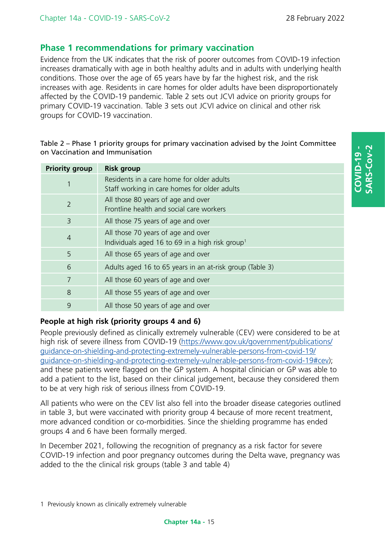# **Phase 1 recommendations for primary vaccination**

Evidence from the UK indicates that the risk of poorer outcomes from COVID-19 infection increases dramatically with age in both healthy adults and in adults with underlying health conditions. Those over the age of 65 years have by far the highest risk, and the risk increases with age. Residents in care homes for older adults have been disproportionately affected by the COVID-19 pandemic. Table 2 sets out JCVI advice on priority groups for primary COVID-19 vaccination. Table 3 sets out JCVI advice on clinical and other risk groups for COVID-19 vaccination.

### Table 2 – Phase 1 priority groups for primary vaccination advised by the Joint Committee on Vaccination and Immunisation

| <b>Priority group</b> | <b>Risk group</b>                                                                                 |  |  |
|-----------------------|---------------------------------------------------------------------------------------------------|--|--|
|                       | Residents in a care home for older adults<br>Staff working in care homes for older adults         |  |  |
| $\overline{2}$        | All those 80 years of age and over<br>Frontline health and social care workers                    |  |  |
| 3                     | All those 75 years of age and over                                                                |  |  |
| $\overline{4}$        | All those 70 years of age and over<br>Individuals aged 16 to 69 in a high risk group <sup>1</sup> |  |  |
| 5                     | All those 65 years of age and over                                                                |  |  |
| 6                     | Adults aged 16 to 65 years in an at-risk group (Table 3)                                          |  |  |
| 7                     | All those 60 years of age and over                                                                |  |  |
| 8                     | All those 55 years of age and over                                                                |  |  |
| 9                     | All those 50 years of age and over                                                                |  |  |

# **People at high risk (priority groups 4 and 6)**

People previously defined as clinically extremely vulnerable (CEV) were considered to be at high risk of severe illness from COVID-19 [\(https://www.gov.uk/government/publications/](https://www.gov.uk/government/publications/guidance-on-shielding-and-protecting-extremely-vulnerable-persons-from-covid-19/guidance-on-shielding-and-protecting-extremely-vulnerable-persons-from-covid-19#cev) [guidance-on-shielding-and-protecting-extremely-vulnerable-persons-from-covid-19/](https://www.gov.uk/government/publications/guidance-on-shielding-and-protecting-extremely-vulnerable-persons-from-covid-19/guidance-on-shielding-and-protecting-extremely-vulnerable-persons-from-covid-19#cev) [guidance-on-shielding-and-protecting-extremely-vulnerable-persons-from-covid-19#cev](https://www.gov.uk/government/publications/guidance-on-shielding-and-protecting-extremely-vulnerable-persons-from-covid-19/guidance-on-shielding-and-protecting-extremely-vulnerable-persons-from-covid-19#cev)); and these patients were flagged on the GP system. A hospital clinician or GP was able to add a patient to the list, based on their clinical judgement, because they considered them to be at very high risk of serious illness from COVID-19.

All patients who were on the CEV list also fell into the broader disease categories outlined in table 3, but were vaccinated with priority group 4 because of more recent treatment, more advanced condition or co-morbidities. Since the shielding programme has ended groups 4 and 6 have been formally merged.

In December 2021, following the recognition of pregnancy as a risk factor for severe COVID-19 infection and poor pregnancy outcomes during the Delta wave, pregnancy was added to the the clinical risk groups (table 3 and table 4)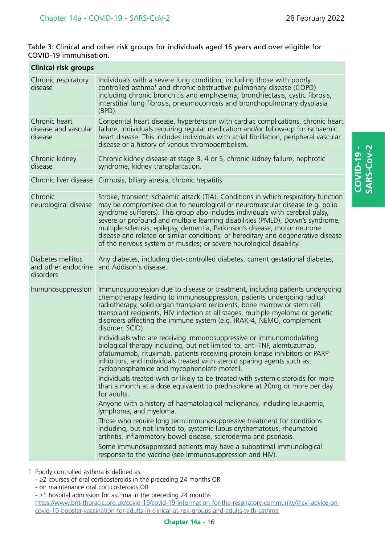**COVID-19 - SARS-Cov-2**

COVID-19 -<br>SARS-Cov-2

### Table 3: Clinical and other risk groups for individuals aged 16 years and over eligible for COVID-19 immunisation.

| <b>Clinical risk groups</b>                           |                                                                                                                                                                                                                                                                                                                                                                                                                                                                                                                                                                                                                                                                                                                                                                                                                                                                                                                                                                                                                                                                                                                                                                                                                                                                                                                                                                                                                                  |  |  |  |
|-------------------------------------------------------|----------------------------------------------------------------------------------------------------------------------------------------------------------------------------------------------------------------------------------------------------------------------------------------------------------------------------------------------------------------------------------------------------------------------------------------------------------------------------------------------------------------------------------------------------------------------------------------------------------------------------------------------------------------------------------------------------------------------------------------------------------------------------------------------------------------------------------------------------------------------------------------------------------------------------------------------------------------------------------------------------------------------------------------------------------------------------------------------------------------------------------------------------------------------------------------------------------------------------------------------------------------------------------------------------------------------------------------------------------------------------------------------------------------------------------|--|--|--|
| Chronic respiratory<br>disease                        | Individuals with a severe lung condition, including those with poorly<br>controlled asthma <sup>1</sup> and chronic obstructive pulmonary disease (COPD)<br>including chronic bronchitis and emphysema; bronchiectasis, cystic fibrosis,<br>interstitial lung fibrosis, pneumoconiosis and bronchopulmonary dysplasia<br>$(BPD)$ .                                                                                                                                                                                                                                                                                                                                                                                                                                                                                                                                                                                                                                                                                                                                                                                                                                                                                                                                                                                                                                                                                               |  |  |  |
| Chronic heart<br>disease and vascular<br>disease      | Congenital heart disease, hypertension with cardiac complications, chronic heart<br>failure, individuals requiring regular medication and/or follow-up for ischaemic<br>heart disease. This includes individuals with atrial fibrillation, peripheral vascular<br>disease or a history of venous thromboembolism.                                                                                                                                                                                                                                                                                                                                                                                                                                                                                                                                                                                                                                                                                                                                                                                                                                                                                                                                                                                                                                                                                                                |  |  |  |
| Chronic kidney<br>disease                             | Chronic kidney disease at stage 3, 4 or 5, chronic kidney failure, nephrotic<br>syndrome, kidney transplantation.                                                                                                                                                                                                                                                                                                                                                                                                                                                                                                                                                                                                                                                                                                                                                                                                                                                                                                                                                                                                                                                                                                                                                                                                                                                                                                                |  |  |  |
|                                                       | Chronic liver disease Cirrhosis, biliary atresia, chronic hepatitis.                                                                                                                                                                                                                                                                                                                                                                                                                                                                                                                                                                                                                                                                                                                                                                                                                                                                                                                                                                                                                                                                                                                                                                                                                                                                                                                                                             |  |  |  |
| Chronic<br>neurological disease                       | Stroke, transient ischaemic attack (TIA). Conditions in which respiratory function<br>may be compromised due to neurological or neuromuscular disease (e.g. polio<br>syndrome sufferers). This group also includes individuals with cerebral palsy,<br>severe or profound and multiple learning disabilities (PMLD), Down's syndrome,<br>multiple sclerosis, epilepsy, dementia, Parkinson's disease, motor neurone<br>disease and related or similar conditions; or hereditary and degenerative disease<br>of the nervous system or muscles; or severe neurological disability.                                                                                                                                                                                                                                                                                                                                                                                                                                                                                                                                                                                                                                                                                                                                                                                                                                                 |  |  |  |
| Diabetes mellitus<br>and other endocrine<br>disorders | Any diabetes, including diet-controlled diabetes, current gestational diabetes,<br>and Addison's disease.                                                                                                                                                                                                                                                                                                                                                                                                                                                                                                                                                                                                                                                                                                                                                                                                                                                                                                                                                                                                                                                                                                                                                                                                                                                                                                                        |  |  |  |
| Immunosuppression                                     | Immunosuppression due to disease or treatment, including patients undergoing<br>chemotherapy leading to immunosuppression, patients undergoing radical<br>radiotherapy, solid organ transplant recipients, bone marrow or stem cell<br>transplant recipients, HIV infection at all stages, multiple myeloma or genetic<br>disorders affecting the immune system (e.g. IRAK-4, NEMO, complement<br>disorder, SCID).<br>Individuals who are receiving immunosuppressive or immunomodulating<br>biological therapy including, but not limited to, anti-TNF, alemtuzumab,<br>ofatumumab, rituximab, patients receiving protein kinase inhibitors or PARP<br>inhibitors, and individuals treated with steroid sparing agents such as<br>cyclophosphamide and mycophenolate mofetil.<br>Individuals treated with or likely to be treated with systemic steroids for more<br>than a month at a dose equivalent to prednisolone at 20mg or more per day<br>for adults.<br>Anyone with a history of haematological malignancy, including leukaemia,<br>lymphoma, and myeloma.<br>Those who require long term immunosuppressive treatment for conditions<br>including, but not limited to, systemic lupus erythematosus, rheumatoid<br>arthritis, inflammatory bowel disease, scleroderma and psoriasis.<br>Some immunosuppressed patients may have a suboptimal immunological<br>response to the vaccine (see Immunosuppression and HIV). |  |  |  |

1 Poorly controlled asthma is defined as:

<sup>-</sup> ≥2 courses of oral corticosteroids in the preceding 24 months OR

<sup>-</sup> on maintenance oral corticosteroids OR

<sup>-</sup> ≥1 hospital admission for asthma in the preceding 24 months

[https://www.brit-thoracic.org.uk/covid-19/covid-19-information-for-the-respiratory-community/#jcvi-advice-on](https://www.brit-thoracic.org.uk/covid-19/covid-19-information-for-the-respiratory-community/#jcvi-advice-on-covid-19-booster-vaccination-for-adults-in-clinical-at-risk-groups-and-adults-with-asthma)[covid-19-booster-vaccination-for-adults-in-clinical-at-risk-groups-and-adults-with-asthma](https://www.brit-thoracic.org.uk/covid-19/covid-19-information-for-the-respiratory-community/#jcvi-advice-on-covid-19-booster-vaccination-for-adults-in-clinical-at-risk-groups-and-adults-with-asthma)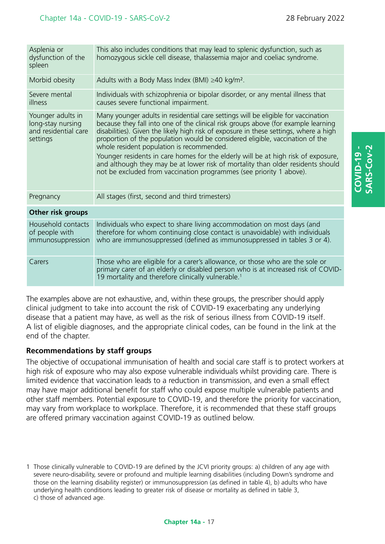**COVID-19 - SARS-Cov-2**

**QVID-19** 

| Asplenia or<br>dysfunction of the<br>spleen                                | This also includes conditions that may lead to splenic dysfunction, such as<br>homozygous sickle cell disease, thalassemia major and coeliac syndrome.                                                                                                                                                                                                                                                                                                                                                                                                                                                                                        |
|----------------------------------------------------------------------------|-----------------------------------------------------------------------------------------------------------------------------------------------------------------------------------------------------------------------------------------------------------------------------------------------------------------------------------------------------------------------------------------------------------------------------------------------------------------------------------------------------------------------------------------------------------------------------------------------------------------------------------------------|
| Morbid obesity                                                             | Adults with a Body Mass Index (BMI) $\geq$ 40 kg/m <sup>2</sup> .                                                                                                                                                                                                                                                                                                                                                                                                                                                                                                                                                                             |
| Severe mental<br>illness                                                   | Individuals with schizophrenia or bipolar disorder, or any mental illness that<br>causes severe functional impairment.                                                                                                                                                                                                                                                                                                                                                                                                                                                                                                                        |
| Younger adults in<br>long-stay nursing<br>and residential care<br>settings | Many younger adults in residential care settings will be eligible for vaccination<br>because they fall into one of the clinical risk groups above (for example learning<br>disabilities). Given the likely high risk of exposure in these settings, where a high<br>proportion of the population would be considered eligible, vaccination of the<br>whole resident population is recommended.<br>Younger residents in care homes for the elderly will be at high risk of exposure,<br>and although they may be at lower risk of mortality than older residents should<br>not be excluded from vaccination programmes (see priority 1 above). |
| Pregnancy                                                                  | All stages (first, second and third trimesters)                                                                                                                                                                                                                                                                                                                                                                                                                                                                                                                                                                                               |
| Other risk groups                                                          |                                                                                                                                                                                                                                                                                                                                                                                                                                                                                                                                                                                                                                               |
| Household contacts<br>of people with<br>immunosuppression                  | Individuals who expect to share living accommodation on most days (and<br>therefore for whom continuing close contact is unavoidable) with individuals<br>who are immunosuppressed (defined as immunosuppressed in tables 3 or 4).                                                                                                                                                                                                                                                                                                                                                                                                            |
| Carers                                                                     | Those who are eligible for a carer's allowance, or those who are the sole or<br>primary carer of an elderly or disabled person who is at increased risk of COVID-<br>19 mortality and therefore clinically vulnerable. <sup>1</sup>                                                                                                                                                                                                                                                                                                                                                                                                           |

The examples above are not exhaustive, and, within these groups, the prescriber should apply clinical judgment to take into account the risk of COVID-19 exacerbating any underlying disease that a patient may have, as well as the risk of serious illness from COVID-19 itself. A list of eligible diagnoses, and the appropriate clinical codes, can be found in the link at the end of the chapter.

### **Recommendations by staff groups**

The objective of occupational immunisation of health and social care staff is to protect workers at high risk of exposure who may also expose vulnerable individuals whilst providing care. There is limited evidence that vaccination leads to a reduction in transmission, and even a small effect may have major additional benefit for staff who could expose multiple vulnerable patients and other staff members. Potential exposure to COVID-19, and therefore the priority for vaccination, may vary from workplace to workplace. Therefore, it is recommended that these staff groups are offered primary vaccination against COVID-19 as outlined below.

1 Those clinically vulnerable to COVID-19 are defined by the JCVI priority groups: a) children of any age with severe neuro-disability, severe or profound and multiple learning disabilities (including Down's syndrome and those on the learning disability register) or immunosuppression (as defined in table 4), b) adults who have underlying health conditions leading to greater risk of disease or mortality as defined in table 3, c) those of advanced age.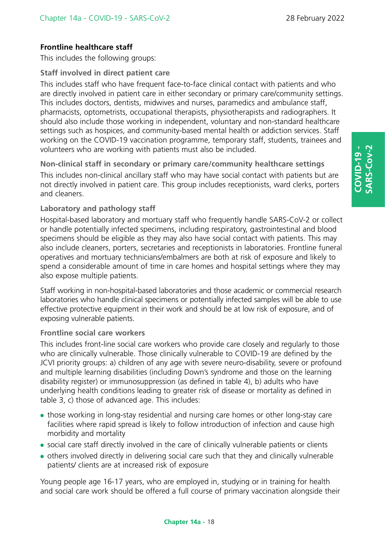# **Frontline healthcare staff**

This includes the following groups:

### **Staff involved in direct patient care**

This includes staff who have frequent face-to-face clinical contact with patients and who are directly involved in patient care in either secondary or primary care/community settings. This includes doctors, dentists, midwives and nurses, paramedics and ambulance staff, pharmacists, optometrists, occupational therapists, physiotherapists and radiographers. It should also include those working in independent, voluntary and non-standard healthcare settings such as hospices, and community-based mental health or addiction services. Staff working on the COVID-19 vaccination programme, temporary staff, students, trainees and volunteers who are working with patients must also be included.

**Non-clinical staff in secondary or primary care/community healthcare settings** 

This includes non-clinical ancillary staff who may have social contact with patients but are not directly involved in patient care. This group includes receptionists, ward clerks, porters and cleaners.

### **Laboratory and pathology staff**

Hospital-based laboratory and mortuary staff who frequently handle SARS-CoV-2 or collect or handle potentially infected specimens, including respiratory, gastrointestinal and blood specimens should be eligible as they may also have social contact with patients. This may also include cleaners, porters, secretaries and receptionists in laboratories. Frontline funeral operatives and mortuary technicians/embalmers are both at risk of exposure and likely to spend a considerable amount of time in care homes and hospital settings where they may also expose multiple patients.

Staff working in non-hospital-based laboratories and those academic or commercial research laboratories who handle clinical specimens or potentially infected samples will be able to use effective protective equipment in their work and should be at low risk of exposure, and of exposing vulnerable patients.

### **Frontline social care workers**

This includes front-line social care workers who provide care closely and regularly to those who are clinically vulnerable. Those clinically vulnerable to COVID-19 are defined by the JCVI priority groups: a) children of any age with severe neuro-disability, severe or profound and multiple learning disabilities (including Down's syndrome and those on the learning disability register) or immunosuppression (as defined in table 4), b) adults who have underlying health conditions leading to greater risk of disease or mortality as defined in table 3, c) those of advanced age. This includes:

- those working in long-stay residential and nursing care homes or other long-stay care facilities where rapid spread is likely to follow introduction of infection and cause high morbidity and mortality
- social care staff directly involved in the care of clinically vulnerable patients or clients
- others involved directly in delivering social care such that they and clinically vulnerable patients/ clients are at increased risk of exposure

Young people age 16-17 years, who are employed in, studying or in training for health and social care work should be offered a full course of primary vaccination alongside their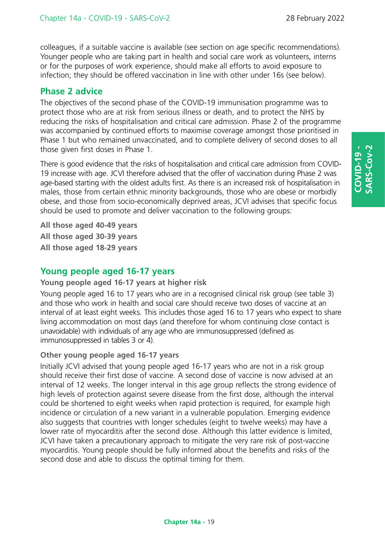colleagues, if a suitable vaccine is available (see section on age specific recommendations). Younger people who are taking part in health and social care work as volunteers, interns or for the purposes of work experience, should make all efforts to avoid exposure to infection; they should be offered vaccination in line with other under 16s (see below).

# **Phase 2 advice**

The objectives of the second phase of the COVID-19 immunisation programme was to protect those who are at risk from serious illness or death, and to protect the NHS by reducing the risks of hospitalisation and critical care admission. Phase 2 of the programme was accompanied by continued efforts to maximise coverage amongst those prioritised in Phase 1 but who remained unvaccinated, and to complete delivery of second doses to all those given first doses in Phase 1.

There is good evidence that the risks of hospitalisation and critical care admission from COVID-19 increase with age. JCVI therefore advised that the offer of vaccination during Phase 2 was age-based starting with the oldest adults first. As there is an increased risk of hospitalisation in males, those from certain ethnic minority backgrounds, those who are obese or morbidly obese, and those from socio-economically deprived areas, JCVI advises that specific focus should be used to promote and deliver vaccination to the following groups:

**All those aged 40-49 years All those aged 30-39 years All those aged 18-29 years**

# **Young people aged 16-17 years**

### **Young people aged 16-17 years at higher risk**

Young people aged 16 to 17 years who are in a recognised clinical risk group (see table 3) and those who work in health and social care should receive two doses of vaccine at an interval of at least eight weeks. This includes those aged 16 to 17 years who expect to share living accommodation on most days (and therefore for whom continuing close contact is unavoidable) with individuals of any age who are immunosuppressed (defined as immunosuppressed in tables 3 or 4).

### **Other young people aged 16-17 years**

Initially JCVI advised that young people aged 16-17 years who are not in a risk group should receive their first dose of vaccine. A second dose of vaccine is now advised at an interval of 12 weeks. The longer interval in this age group reflects the strong evidence of high levels of protection against severe disease from the first dose, although the interval could be shortened to eight weeks when rapid protection is required, for example high incidence or circulation of a new variant in a vulnerable population. Emerging evidence also suggests that countries with longer schedules (eight to twelve weeks) may have a lower rate of myocarditis after the second dose. Although this latter evidence is limited, JCVI have taken a precautionary approach to mitigate the very rare risk of post-vaccine myocarditis. Young people should be fully informed about the benefits and risks of the second dose and able to discuss the optimal timing for them.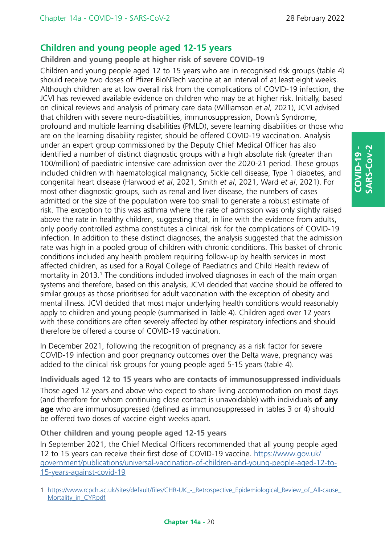# **Children and young people aged 12-15 years**

**Children and young people at higher risk of severe COVID-19** 

Children and young people aged 12 to 15 years who are in recognised risk groups (table 4) should receive two doses of Pfizer BioNTech vaccine at an interval of at least eight weeks. Although children are at low overall risk from the complications of COVID-19 infection, the JCVI has reviewed available evidence on children who may be at higher risk. Initially, based on clinical reviews and analysis of primary care data (Williamson *et al*, 2021), JCVI advised that children with severe neuro-disabilities, immunosuppression, Down's Syndrome, profound and multiple learning disabilities (PMLD), severe learning disabilities or those who are on the learning disability register, should be offered COVID-19 vaccination. Analysis under an expert group commissioned by the Deputy Chief Medical Officer has also identified a number of distinct diagnostic groups with a high absolute risk (greater than 100/million) of paediatric intensive care admission over the 2020-21 period. These groups included children with haematological malignancy, Sickle cell disease, Type 1 diabetes, and congenital heart disease (Harwood *et al*, 2021, Smith *et al*, 2021, Ward *et al*, 2021). For most other diagnostic groups, such as renal and liver disease, the numbers of cases admitted or the size of the population were too small to generate a robust estimate of risk. The exception to this was asthma where the rate of admission was only slightly raised above the rate in healthy children, suggesting that, in line with the evidence from adults, only poorly controlled asthma constitutes a clinical risk for the complications of COVID-19 infection. In addition to these distinct diagnoses, the analysis suggested that the admission rate was high in a pooled group of children with chronic conditions. This basket of chronic conditions included any health problem requiring follow-up by health services in most affected children, as used for a Royal College of Paediatrics and Child Health review of mortality in 2013.<sup>1</sup> The conditions included involved diagnoses in each of the main organ systems and therefore, based on this analysis, JCVI decided that vaccine should be offered to similar groups as those prioritised for adult vaccination with the exception of obesity and mental illness. JCVI decided that most major underlying health conditions would reasonably apply to children and young people (summarised in Table 4). Children aged over 12 years with these conditions are often severely affected by other respiratory infections and should therefore be offered a course of COVID-19 vaccination.

In December 2021, following the recognition of pregnancy as a risk factor for severe COVID-19 infection and poor pregnancy outcomes over the Delta wave, pregnancy was added to the clinical risk groups for young people aged 5-15 years (table 4).

**Individuals aged 12 to 15 years who are contacts of immunosuppressed individuals**  Those aged 12 years and above who expect to share living accommodation on most days (and therefore for whom continuing close contact is unavoidable) with individuals **of any age** who are immunosuppressed (defined as immunosuppressed in tables 3 or 4) should be offered two doses of vaccine eight weeks apart.

### **Other children and young people aged 12-15 years**

In September 2021, the Chief Medical Officers recommended that all young people aged 12 to 15 years can receive their first dose of COVID-19 vaccine. [https://www.gov.uk/](https://www.gov.uk/government/publications/universal-vaccination-of-children-and-young-people-aged-12-to-15-years-against-covid-19) [government/publications/universal-vaccination-of-children-and-young-people-aged-12-to-](https://www.gov.uk/government/publications/universal-vaccination-of-children-and-young-people-aged-12-to-15-years-against-covid-19)[15-years-against-covid-19](https://www.gov.uk/government/publications/universal-vaccination-of-children-and-young-people-aged-12-to-15-years-against-covid-19)

<sup>1</sup> https://www.rcpch.ac.uk/sites/default/files/CHR-UK - Retrospective Epidemiological Review of All-cause [Mortality\\_in\\_CYP.pdf](https://www.rcpch.ac.uk/sites/default/files/CHR-UK_-_Retrospective_Epidemiological_Review_of_All-cause_Mortality_in_CYP.pdf)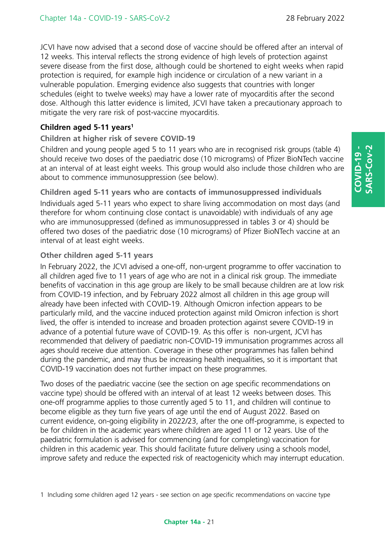JCVI have now advised that a second dose of vaccine should be offered after an interval of 12 weeks. This interval reflects the strong evidence of high levels of protection against severe disease from the first dose, although could be shortened to eight weeks when rapid protection is required, for example high incidence or circulation of a new variant in a vulnerable population. Emerging evidence also suggests that countries with longer schedules (eight to twelve weeks) may have a lower rate of myocarditis after the second dose. Although this latter evidence is limited, JCVI have taken a precautionary approach to mitigate the very rare risk of post-vaccine myocarditis.

### **Children aged 5-11 years1**

### **Children at higher risk of severe COVID-19**

Children and young people aged 5 to 11 years who are in recognised risk groups (table 4) should receive two doses of the paediatric dose (10 micrograms) of Pfizer BioNTech vaccine at an interval of at least eight weeks. This group would also include those children who are about to commence immunosuppression (see below).

**Children aged 5-11 years who are contacts of immunosuppressed individuals** Individuals aged 5-11 years who expect to share living accommodation on most days (and therefore for whom continuing close contact is unavoidable) with individuals of any age who are immunosuppressed (defined as immunosuppressed in tables 3 or 4) should be offered two doses of the paediatric dose (10 micrograms) of Pfizer BioNTech vaccine at an interval of at least eight weeks.

### **Other children aged 5-11 years**

In February 2022, the JCVI advised a one-off, non-urgent programme to offer vaccination to all children aged five to 11 years of age who are not in a clinical risk group. The immediate benefits of vaccination in this age group are likely to be small because children are at low risk from COVID-19 infection, and by February 2022 almost all children in this age group will already have been infected with COVID-19. Although Omicron infection appears to be particularly mild, and the vaccine induced protection against mild Omicron infection is short lived, the offer is intended to increase and broaden protection against severe COVID-19 in advance of a potential future wave of COVID-19. As this offer is non-urgent, JCVI has recommended that delivery of paediatric non-COVID-19 immunisation programmes across all ages should receive due attention. Coverage in these other programmes has fallen behind during the pandemic, and may thus be increasing health inequalities, so it is important that COVID-19 vaccination does not further impact on these programmes.

Two doses of the paediatric vaccine (see the section on age specific recommendations on vaccine type) should be offered with an interval of at least 12 weeks between doses. This one-off programme applies to those currently aged 5 to 11, and children will continue to become eligible as they turn five years of age until the end of August 2022. Based on current evidence, on-going eligibility in 2022/23, after the one off-programme, is expected to be for children in the academic years where children are aged 11 or 12 years. Use of the paediatric formulation is advised for commencing (and for completing) vaccination for children in this academic year. This should facilitate future delivery using a schools model, improve safety and reduce the expected risk of reactogenicity which may interrupt education.

1 Including some children aged 12 years - see section on age specific recommendations on vaccine type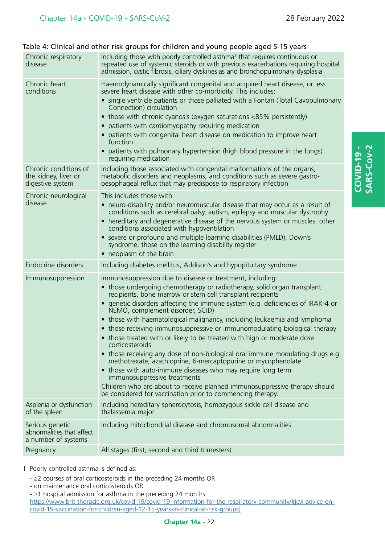| Chronic respiratory<br>disease                                      | Including those with poorly controlled asthma <sup>1</sup> that requires continuous or<br>repeated use of systemic steroids or with previous exacerbations requiring hospital<br>admission, cystic fibrosis, ciliary dyskinesias and bronchopulmonary dysplasia                                                                                                                                                                                                                                                                                                                        |
|---------------------------------------------------------------------|----------------------------------------------------------------------------------------------------------------------------------------------------------------------------------------------------------------------------------------------------------------------------------------------------------------------------------------------------------------------------------------------------------------------------------------------------------------------------------------------------------------------------------------------------------------------------------------|
| Chronic heart<br>conditions                                         | Haemodynamically significant congenital and acquired heart disease, or less<br>severe heart disease with other co-morbidity. This includes:<br>• single ventricle patients or those palliated with a Fontan (Total Cavopulmonary<br>Connection) circulation<br>• those with chronic cyanosis (oxygen saturations <85% persistently)<br>• patients with cardiomyopathy requiring medication<br>• patients with congenital heart disease on medication to improve heart<br>function<br>• patients with pulmonary hypertension (high blood pressure in the lungs)<br>requiring medication |
| Chronic conditions of<br>the kidney, liver or<br>digestive system   | Including those associated with congenital malformations of the organs,<br>metabolic disorders and neoplasms, and conditions such as severe gastro-<br>oesophageal reflux that may predispose to respiratory infection                                                                                                                                                                                                                                                                                                                                                                 |
| Chronic neurological<br>disease                                     | This includes those with<br>• neuro-disability and/or neuromuscular disease that may occur as a result of<br>conditions such as cerebral palsy, autism, epilepsy and muscular dystrophy<br>• hereditary and degenerative disease of the nervous system or muscles, other<br>conditions associated with hypoventilation<br>• severe or profound and multiple learning disabilities (PMLD), Down's<br>syndrome, those on the learning disability register<br>• neoplasm of the brain                                                                                                     |
| <b>Endocrine disorders</b>                                          | Including diabetes mellitus, Addison's and hypopituitary syndrome                                                                                                                                                                                                                                                                                                                                                                                                                                                                                                                      |
| Immunosuppression                                                   | Immunosuppression due to disease or treatment, including:<br>• those undergoing chemotherapy or radiotherapy, solid organ transplant<br>recipients, bone marrow or stem cell transplant recipients<br>• genetic disorders affecting the immune system (e.g. deficiencies of IRAK-4 or<br>NEMO, complement disorder, SCID)<br>• those with haematological malignancy, including leukaemia and lymphoma                                                                                                                                                                                  |
|                                                                     | • those receiving immunosuppressive or immunomodulating biological therapy<br>• those treated with or likely to be treated with high or moderate dose<br>corticosteroids<br>• those receiving any dose of non-biological oral immune modulating drugs e.g.<br>methotrexate, azathioprine, 6-mercaptopurine or mycophenolate<br>• those with auto-immune diseases who may require long term<br>immunosuppressive treatments<br>Children who are about to receive planned immunosuppressive therapy should<br>be considered for vaccination prior to commencing therapy.                 |
| Asplenia or dysfunction<br>of the spleen                            | Including hereditary spherocytosis, homozygous sickle cell disease and<br>thalassemia major                                                                                                                                                                                                                                                                                                                                                                                                                                                                                            |
| Serious genetic<br>abnormalities that affect<br>a number of systems | Including mitochondrial disease and chromosomal abnormalities                                                                                                                                                                                                                                                                                                                                                                                                                                                                                                                          |

### Table 4: Clinical and other risk groups for children and young people aged 5-15 years

1 Poorly controlled asthma is defined as:

- ≥2 courses of oral corticosteroids in the preceding 24 months OR
- on maintenance oral corticosteroids OR
- ≥1 hospital admission for asthma in the preceding 24 months

[https://www.brit-thoracic.org.uk/covid-19/covid-19-information-for-the-respiratory-community/#jcvi-advice-on](https://www.brit-thoracic.org.uk/covid-19/covid-19-information-for-the-respiratory-community/#jcvi-advice-on-covid-19-vaccination-for-children-aged-12-15-years-in-clinical-at-risk-groups))[covid-19-vaccination-for-children-aged-12-15-years-in-clinical-at-risk-groups\)](https://www.brit-thoracic.org.uk/covid-19/covid-19-information-for-the-respiratory-community/#jcvi-advice-on-covid-19-vaccination-for-children-aged-12-15-years-in-clinical-at-risk-groups))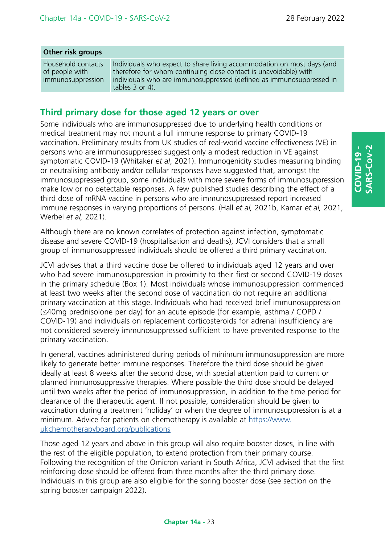### **Other risk groups**

Household contacts of people with immunosuppression

Individuals who expect to share living accommodation on most days (and therefore for whom continuing close contact is unavoidable) with individuals who are immunosuppressed (defined as immunosuppressed in tables 3 or 4).

# **Third primary dose for those aged 12 years or over**

Some individuals who are immunosuppressed due to underlying health conditions or medical treatment may not mount a full immune response to primary COVID-19 vaccination. Preliminary results from UK studies of real-world vaccine effectiveness (VE) in persons who are immunosuppressed suggest only a modest reduction in VE against symptomatic COVID-19 (Whitaker *et al*, 2021). Immunogenicity studies measuring binding or neutralising antibody and/or cellular responses have suggested that, amongst the immunosuppressed group, some individuals with more severe forms of immunosuppression make low or no detectable responses. A few published studies describing the effect of a third dose of mRNA vaccine in persons who are immunosuppressed report increased immune responses in varying proportions of persons. (Hall *et al,* 2021b, Kamar *et al,* 2021, Werbel *et al,* 2021).

Although there are no known correlates of protection against infection, symptomatic disease and severe COVID-19 (hospitalisation and deaths), JCVI considers that a small group of immunosuppressed individuals should be offered a third primary vaccination.

JCVI advises that a third vaccine dose be offered to individuals aged 12 years and over who had severe immunosuppression in proximity to their first or second COVID-19 doses in the primary schedule (Box 1). Most individuals whose immunosuppression commenced at least two weeks after the second dose of vaccination do not require an additional primary vaccination at this stage. Individuals who had received brief immunosuppression (≤40mg prednisolone per day) for an acute episode (for example, asthma / COPD / COVID-19) and individuals on replacement corticosteroids for adrenal insufficiency are not considered severely immunosuppressed sufficient to have prevented response to the primary vaccination.

In general, vaccines administered during periods of minimum immunosuppression are more likely to generate better immune responses. Therefore the third dose should be given ideally at least 8 weeks after the second dose, with special attention paid to current or planned immunosuppressive therapies. Where possible the third dose should be delayed until two weeks after the period of immunosuppression, in addition to the time period for clearance of the therapeutic agent. If not possible, consideration should be given to vaccination during a treatment 'holiday' or when the degree of immunosuppression is at a minimum. Advice for patients on chemotherapy is available at [https://www.](https://www.ukchemotherapyboard.org/publications) [ukchemotherapyboard.org/publications](https://www.ukchemotherapyboard.org/publications)

Those aged 12 years and above in this group will also require booster doses, in line with the rest of the eligible population, to extend protection from their primary course. Following the recognition of the Omicron variant in South Africa, JCVI advised that the first reinforcing dose should be offered from three months after the third primary dose. Individuals in this group are also eligible for the spring booster dose (see section on the spring booster campaign 2022).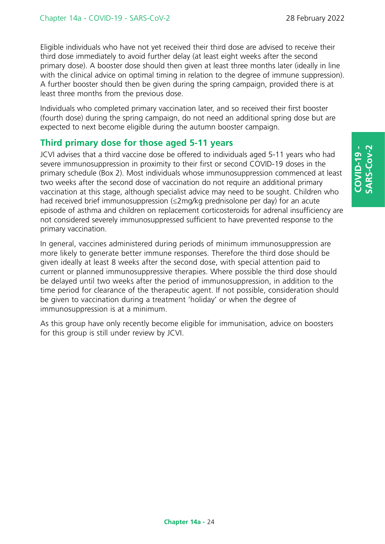Eligible individuals who have not yet received their third dose are advised to receive their third dose immediately to avoid further delay (at least eight weeks after the second primary dose). A booster dose should then given at least three months later (ideally in line with the clinical advice on optimal timing in relation to the degree of immune suppression). A further booster should then be given during the spring campaign, provided there is at least three months from the previous dose.

Individuals who completed primary vaccination later, and so received their first booster (fourth dose) during the spring campaign, do not need an additional spring dose but are expected to next become eligible during the autumn booster campaign.

# **Third primary dose for those aged 5-11 years**

JCVI advises that a third vaccine dose be offered to individuals aged 5-11 years who had severe immunosuppression in proximity to their first or second COVID-19 doses in the primary schedule (Box 2). Most individuals whose immunosuppression commenced at least two weeks after the second dose of vaccination do not require an additional primary vaccination at this stage, although specialist advice may need to be sought. Children who had received brief immunosuppression (≤2mg/kg prednisolone per day) for an acute episode of asthma and children on replacement corticosteroids for adrenal insufficiency are not considered severely immunosuppressed sufficient to have prevented response to the primary vaccination.

In general, vaccines administered during periods of minimum immunosuppression are more likely to generate better immune responses. Therefore the third dose should be given ideally at least 8 weeks after the second dose, with special attention paid to current or planned immunosuppressive therapies. Where possible the third dose should be delayed until two weeks after the period of immunosuppression, in addition to the time period for clearance of the therapeutic agent. If not possible, consideration should be given to vaccination during a treatment 'holiday' or when the degree of immunosuppression is at a minimum.

As this group have only recently become eligible for immunisation, advice on boosters for this group is still under review by JCVI.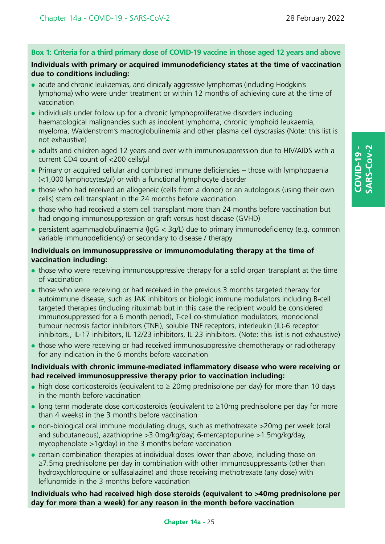### **Box 1: Criteria for a third primary dose of COVID-19 vaccine in those aged 12 years and above**

### **Individuals with primary or acquired immunodeficiency states at the time of vaccination due to conditions including:**

- acute and chronic leukaemias, and clinically aggressive lymphomas (including Hodgkin's lymphoma) who were under treatment or within 12 months of achieving cure at the time of vaccination
- individuals under follow up for a chronic lymphoproliferative disorders including haematological malignancies such as indolent lymphoma, chronic lymphoid leukaemia, myeloma, Waldenstrom's macroglobulinemia and other plasma cell dyscrasias (Note: this list is not exhaustive)
- adults and children aged 12 years and over with immunosuppression due to HIV/AIDS with a current CD4 count of <200 cells/*μ*l
- Primary or acquired cellular and combined immune deficiencies those with lymphopaenia (<1,000 lymphocytes/*µ*l) or with a functional lymphocyte disorder
- those who had received an allogeneic (cells from a donor) or an autologous (using their own cells) stem cell transplant in the 24 months before vaccination
- those who had received a stem cell transplant more than 24 months before vaccination but had ongoing immunosuppression or graft versus host disease (GVHD)
- $\bullet$  persistent agammaglobulinaemia (IgG < 3g/L) due to primary immunodeficiency (e.g. common variable immunodeficiency) or secondary to disease / therapy

### **Individuals on immunosuppressive or immunomodulating therapy at the time of vaccination including:**

- those who were receiving immunosuppressive therapy for a solid organ transplant at the time of vaccination
- those who were receiving or had received in the previous 3 months targeted therapy for autoimmune disease, such as JAK inhibitors or biologic immune modulators including B-cell targeted therapies (including rituximab but in this case the recipient would be considered immunosuppressed for a 6 month period), T-cell co-stimulation modulators, monoclonal tumour necrosis factor inhibitors (TNFi), soluble TNF receptors, interleukin (IL)-6 receptor inhibitors., IL-17 inhibitors, IL 12/23 inhibitors, IL 23 inhibitors. (Note: this list is not exhaustive)
- those who were receiving or had received immunosuppressive chemotherapy or radiotherapy for any indication in the 6 months before vaccination

### **Individuals with chronic immune-mediated inflammatory disease who were receiving or had received immunosuppressive therapy prior to vaccination including:**

- $\bullet$  high dose corticosteroids (equivalent to  $\geq 20$  ma prednisolone per day) for more than 10 days in the month before vaccination
- $\bullet$  long term moderate dose corticosteroids (equivalent to  $\geq 10$ mg prednisolone per day for more than 4 weeks) in the 3 months before vaccination
- non-biological oral immune modulating drugs, such as methotrexate >20mg per week (oral and subcutaneous), azathioprine >3.0mg/kg/day; 6-mercaptopurine >1.5mg/kg/day, mycophenolate >1g/day) in the 3 months before vaccination
- certain combination therapies at individual doses lower than above, including those on ≥7.5mg prednisolone per day in combination with other immunosuppressants (other than hydroxychloroquine or sulfasalazine) and those receiving methotrexate (any dose) with leflunomide in the 3 months before vaccination

### **Individuals who had received high dose steroids (equivalent to >40mg prednisolone per day for more than a week) for any reason in the month before vaccination**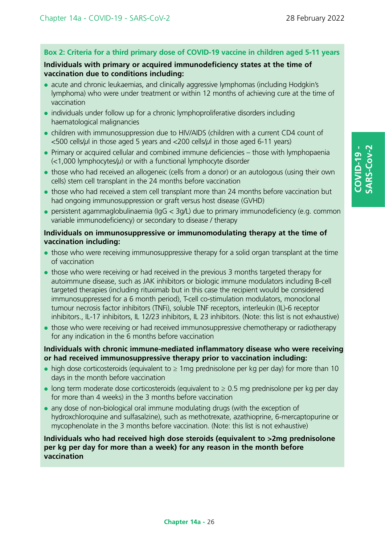### **Box 2: Criteria for a third primary dose of COVID-19 vaccine in children aged 5-11 years**

### **Individuals with primary or acquired immunodeficiency states at the time of vaccination due to conditions including:**

- acute and chronic leukaemias, and clinically aggressive lymphomas (including Hodgkin's lymphoma) who were under treatment or within 12 months of achieving cure at the time of vaccination
- individuals under follow up for a chronic lymphoproliferative disorders including haematological malignancies
- children with immunosuppression due to HIV/AIDS (children with a current CD4 count of <500 cells/*µ*l in those aged 5 years and <200 cells/*µ*l in those aged 6-11 years)
- $\bullet$  Primary or acquired cellular and combined immune deficiencies those with lymphopaenia (<1,000 lymphocytes/*µ*) or with a functional lymphocyte disorder
- those who had received an allogeneic (cells from a donor) or an autologous (using their own cells) stem cell transplant in the 24 months before vaccination
- those who had received a stem cell transplant more than 24 months before vaccination but had ongoing immunosuppression or graft versus host disease (GVHD)
- $\bullet$  persistent agammaglobulinaemia (IgG  $<$  3g/L) due to primary immunodeficiency (e.g. common variable immunodeficiency) or secondary to disease / therapy

### **Individuals on immunosuppressive or immunomodulating therapy at the time of vaccination including:**

- those who were receiving immunosuppressive therapy for a solid organ transplant at the time of vaccination
- those who were receiving or had received in the previous 3 months targeted therapy for autoimmune disease, such as JAK inhibitors or biologic immune modulators including B-cell targeted therapies (including rituximab but in this case the recipient would be considered immunosuppressed for a 6 month period), T-cell co-stimulation modulators, monoclonal tumour necrosis factor inhibitors (TNFi), soluble TNF receptors, interleukin (IL)-6 receptor inhibitors., IL-17 inhibitors, IL 12/23 inhibitors, IL 23 inhibitors. (Note: this list is not exhaustive)
- those who were receiving or had received immunosuppressive chemotherapy or radiotherapy for any indication in the 6 months before vaccination

### **Individuals with chronic immune-mediated inflammatory disease who were receiving or had received immunosuppressive therapy prior to vaccination including:**

- $\bullet$  high dose corticosteroids (equivalent to  $\geq 1$ mg prednisolone per kg per day) for more than 10 days in the month before vaccination
- $\bullet$  long term moderate dose corticosteroids (equivalent to  $\geq 0.5$  mg prednisolone per kg per day for more than 4 weeks) in the 3 months before vaccination
- any dose of non-biological oral immune modulating drugs (with the exception of hydroxchloroquine and sulfasalzine), such as methotrexate, azathioprine, 6-mercaptopurine or mycophenolate in the 3 months before vaccination. (Note: this list is not exhaustive)

### **Individuals who had received high dose steroids (equivalent to >2mg prednisolone per kg per day for more than a week) for any reason in the month before vaccination**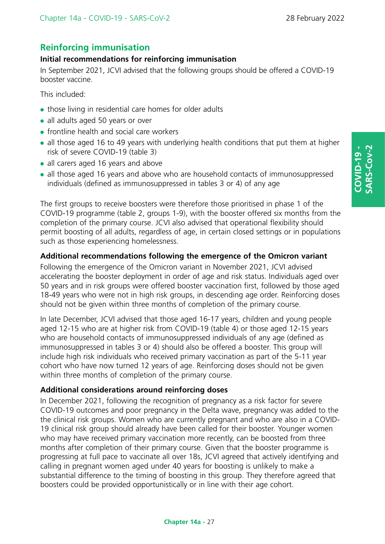# **Reinforcing immunisation**

### **Initial recommendations for reinforcing immunisation**

In September 2021, JCVI advised that the following groups should be offered a COVID-19 booster vaccine.

This included:

- those living in residential care homes for older adults
- all adults aged 50 years or over
- $\bullet$  frontline health and social care workers
- all those aged 16 to 49 years with underlying health conditions that put them at higher risk of severe COVID-19 (table 3)
- all carers aged 16 years and above
- all those aged 16 years and above who are household contacts of immunosuppressed individuals (defined as immunosuppressed in tables 3 or 4) of any age

The first groups to receive boosters were therefore those prioritised in phase 1 of the COVID-19 programme (table 2, groups 1-9), with the booster offered six months from the completion of the primary course. JCVI also advised that operational flexibility should permit boosting of all adults, regardless of age, in certain closed settings or in populations such as those experiencing homelessness.

# **Additional recommendations following the emergence of the Omicron variant**

Following the emergence of the Omicron variant in November 2021, JCVI advised accelerating the booster deployment in order of age and risk status. Individuals aged over 50 years and in risk groups were offered booster vaccination first, followed by those aged 18-49 years who were not in high risk groups, in descending age order. Reinforcing doses should not be given within three months of completion of the primary course.

In late December, JCVI advised that those aged 16-17 years, children and young people aged 12-15 who are at higher risk from COVID-19 (table 4) or those aged 12-15 years who are household contacts of immunosuppressed individuals of any age (defined as immunosuppressed in tables 3 or 4) should also be offered a booster. This group will include high risk individuals who received primary vaccination as part of the 5-11 year cohort who have now turned 12 years of age. Reinforcing doses should not be given within three months of completion of the primary course.

### **Additional considerations around reinforcing doses**

In December 2021, following the recognition of pregnancy as a risk factor for severe COVID-19 outcomes and poor pregnancy in the Delta wave, pregnancy was added to the the clinical risk groups. Women who are currently pregnant and who are also in a COVID-19 clinical risk group should already have been called for their booster. Younger women who may have received primary vaccination more recently, can be boosted from three months after completion of their primary course. Given that the booster programme is progressing at full pace to vaccinate all over 18s, JCVI agreed that actively identifying and calling in pregnant women aged under 40 years for boosting is unlikely to make a substantial difference to the timing of boosting in this group. They therefore agreed that boosters could be provided opportunistically or in line with their age cohort.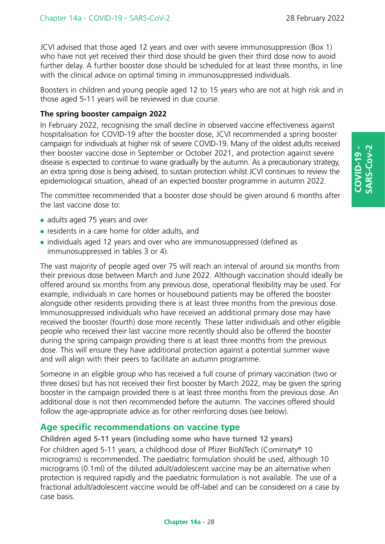JCVI advised that those aged 12 years and over with severe immunosuppression (Box 1) who have not yet received their third dose should be given their third dose now to avoid further delay. A further booster dose should be scheduled for at least three months, in line with the clinical advice on optimal timing in immunosuppressed individuals.

Boosters in children and young people aged 12 to 15 years who are not at high risk and in those aged 5-11 years will be reviewed in due course.

### **The spring booster campaign 2022**

In February 2022, recognising the small decline in observed vaccine effectiveness against hospitalisation for COVID-19 after the booster dose, JCVI recommended a spring booster campaign for individuals at higher risk of severe COVID-19. Many of the oldest adults received their booster vaccine dose in September or October 2021, and protection against severe disease is expected to continue to wane gradually by the autumn. As a precautionary strategy, an extra spring dose is being advised, to sustain protection whilst JCVI continues to review the epidemiological situation, ahead of an expected booster programme in autumn 2022.

The committee recommended that a booster dose should be given around 6 months after the last vaccine dose to:

- adults aged 75 years and over
- residents in a care home for older adults, and
- individuals aged 12 years and over who are immunosuppressed (defined as immunosuppressed in tables 3 or 4).

The vast majority of people aged over 75 will reach an interval of around six months from their previous dose between March and June 2022. Although vaccination should ideally be offered around six months from any previous dose, operational flexibility may be used. For example, individuals in care homes or housebound patients may be offered the booster alongside other residents providing there is at least three months from the previous dose. Immunosuppressed individuals who have received an additional primary dose may have received the booster (fourth) dose more recently. These latter individuals and other eligible people who received their last vaccine more recently should also be offered the booster during the spring campaign providing there is at least three months from the previous dose. This will ensure they have additional protection against a potential summer wave and will align with their peers to facilitate an autumn programme.

Someone in an eligible group who has received a full course of primary vaccination (two or three doses) but has not received their first booster by March 2022, may be given the spring booster in the campaign provided there is at least three months from the previous dose. An additional dose is not then recommended before the autumn. The vaccines offered should follow the age-appropriate advice as for other reinforcing doses (see below).

### **Age specific recommendations on vaccine type**

**Children aged 5-11 years (including some who have turned 12 years)** 

For children aged 5-11 years, a childhood dose of Pfizer BioNTech (Comirnaty® 10 micrograms) is recommended. The paediatric formulation should be used, although 10 micrograms (0.1ml) of the diluted adult/adolescent vaccine may be an alternative when protection is required rapidly and the paediatric formulation is not available. The use of a fractional adult/adolescent vaccine would be off-label and can be considered on a case by case basis.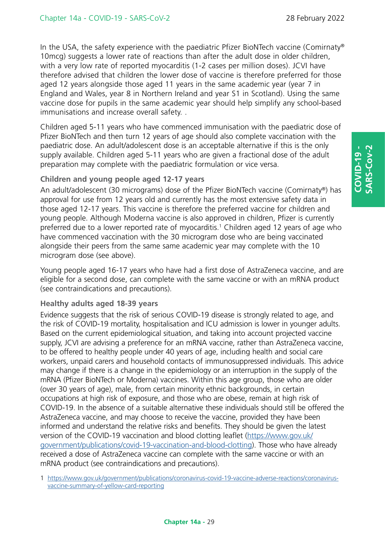In the USA, the safety experience with the paediatric Pfizer BioNTech vaccine (Comirnaty® 10mcg) suggests a lower rate of reactions than after the adult dose in older children, with a very low rate of reported myocarditis (1-2 cases per million doses). JCVI have therefore advised that children the lower dose of vaccine is therefore preferred for those aged 12 years alongside those aged 11 years in the same academic year (year 7 in England and Wales, year 8 in Northern Ireland and year S1 in Scotland). Using the same vaccine dose for pupils in the same academic year should help simplify any school-based immunisations and increase overall safety. .

Children aged 5-11 years who have commenced immunisation with the paediatric dose of Pfizer BioNTech and then turn 12 years of age should also complete vaccination with the paediatric dose. An adult/adolescent dose is an acceptable alternative if this is the only supply available. Children aged 5-11 years who are given a fractional dose of the adult preparation may complete with the paediatric formulation or vice versa.

### **Children and young people aged 12-17 years**

An adult/adolescent (30 micrograms) dose of the Pfizer BioNTech vaccine (Comirnaty®) has approval for use from 12 years old and currently has the most extensive safety data in those aged 12-17 years. This vaccine is therefore the preferred vaccine for children and young people. Although Moderna vaccine is also approved in children, Pfizer is currently preferred due to a lower reported rate of myocarditis.<sup>1</sup> Children aged 12 years of age who have commenced vaccination with the 30 microgram dose who are being vaccinated alongside their peers from the same same academic year may complete with the 10 microgram dose (see above).

Young people aged 16-17 years who have had a first dose of AstraZeneca vaccine, and are eligible for a second dose, can complete with the same vaccine or with an mRNA product (see contraindications and precautions).

### **Healthy adults aged 18-39 years**

Evidence suggests that the risk of serious COVID-19 disease is strongly related to age, and the risk of COVID-19 mortality, hospitalisation and ICU admission is lower in younger adults. Based on the current epidemiological situation, and taking into account projected vaccine supply, JCVI are advising a preference for an mRNA vaccine, rather than AstraZeneca vaccine, to be offered to healthy people under 40 years of age, including health and social care workers, unpaid carers and household contacts of immunosuppressed individuals. This advice may change if there is a change in the epidemiology or an interruption in the supply of the mRNA (Pfizer BioNTech or Moderna) vaccines. Within this age group, those who are older (over 30 years of age), male, from certain minority ethnic backgrounds, in certain occupations at high risk of exposure, and those who are obese, remain at high risk of COVID-19. In the absence of a suitable alternative these individuals should still be offered the AstraZeneca vaccine, and may choose to receive the vaccine, provided they have been informed and understand the relative risks and benefits. They should be given the latest version of the COVID-19 vaccination and blood clotting leaflet [\(https://www.gov.uk/](https://www.gov.uk/government/publications/covid-19-vaccination-and-blood-clotting) [government/publications/covid-19-vaccination-and-blood-clotting\)](https://www.gov.uk/government/publications/covid-19-vaccination-and-blood-clotting). Those who have already received a dose of AstraZeneca vaccine can complete with the same vaccine or with an mRNA product (see contraindications and precautions).

1 [https://www.gov.uk/government/publications/coronavirus-covid-19-vaccine-adverse-reactions/coronavirus](https://www.gov.uk/government/publications/coronavirus-covid-19-vaccine-adverse-reactions/coronavirus-vaccine-summary-of-yellow-card-reporting)[vaccine-summary-of-yellow-card-reporting](https://www.gov.uk/government/publications/coronavirus-covid-19-vaccine-adverse-reactions/coronavirus-vaccine-summary-of-yellow-card-reporting)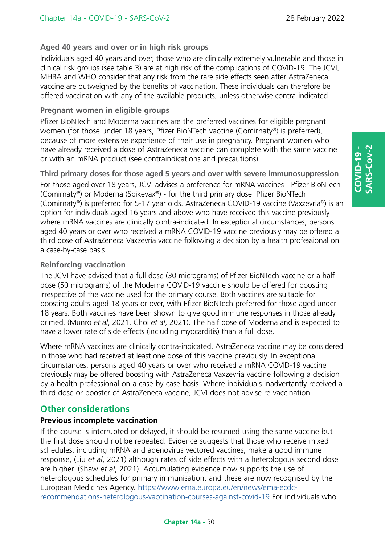# **Aged 40 years and over or in high risk groups**

Individuals aged 40 years and over, those who are clinically extremely vulnerable and those in clinical risk groups (see table 3) are at high risk of the complications of COVID-19. The JCVI, MHRA and WHO consider that any risk from the rare side effects seen after AstraZeneca vaccine are outweighed by the benefits of vaccination. These individuals can therefore be offered vaccination with any of the available products, unless otherwise contra-indicated.

### **Pregnant women in eligible groups**

Pfizer BioNTech and Moderna vaccines are the preferred vaccines for eligible pregnant women (for those under 18 years, Pfizer BioNTech vaccine (Comirnaty®) is preferred), because of more extensive experience of their use in pregnancy. Pregnant women who have already received a dose of AstraZeneca vaccine can complete with the same vaccine or with an mRNA product (see contraindications and precautions).

**Third primary doses for those aged 5 years and over with severe immunosuppression** For those aged over 18 years, JCVI advises a preference for mRNA vaccines - Pfizer BioNTech (Comirnaty®) or Moderna (Spikevax®) - for the third primary dose. Pfizer BioNTech (Comirnaty®) is preferred for 5-17 year olds. AstraZeneca COVID-19 vaccine (Vaxzevria®) is an option for individuals aged 16 years and above who have received this vaccine previously where mRNA vaccines are clinically contra-indicated. In exceptional circumstances, persons aged 40 years or over who received a mRNA COVID-19 vaccine previously may be offered a third dose of AstraZeneca Vaxzevria vaccine following a decision by a health professional on a case-by-case basis.

### **Reinforcing vaccination**

The JCVI have advised that a full dose (30 micrograms) of Pfizer-BioNTech vaccine or a half dose (50 micrograms) of the Moderna COVID-19 vaccine should be offered for boosting irrespective of the vaccine used for the primary course. Both vaccines are suitable for boosting adults aged 18 years or over, with Pfizer BioNTech preferred for those aged under 18 years. Both vaccines have been shown to give good immune responses in those already primed. (Munro *et al*, 2021, Choi *et al*, 2021). The half dose of Moderna and is expected to have a lower rate of side effects (including myocarditis) than a full dose.

Where mRNA vaccines are clinically contra-indicated, AstraZeneca vaccine may be considered in those who had received at least one dose of this vaccine previously. In exceptional circumstances, persons aged 40 years or over who received a mRNA COVID-19 vaccine previously may be offered boosting with AstraZeneca Vaxzevria vaccine following a decision by a health professional on a case-by-case basis. Where individuals inadvertantly received a third dose or booster of AstraZeneca vaccine, JCVI does not advise re-vaccination.

# **Other considerations**

### **Previous incomplete vaccination**

If the course is interrupted or delayed, it should be resumed using the same vaccine but the first dose should not be repeated. Evidence suggests that those who receive mixed schedules, including mRNA and adenovirus vectored vaccines, make a good immune response, (Liu *et al*, 2021) although rates of side effects with a heterologous second dose are higher. (Shaw *et al*, 2021). Accumulating evidence now supports the use of heterologous schedules for primary immunisation, and these are now recognised by the European Medicines Agency. [https://www.ema.europa.eu/en/news/ema-ecdc](https://www.ema.europa.eu/en/news/ema-ecdc-recommendations-heterologous-vaccination-courses-against-covid-19)[recommendations-heterologous-vaccination-courses-against-covid-19](https://www.ema.europa.eu/en/news/ema-ecdc-recommendations-heterologous-vaccination-courses-against-covid-19) For individuals who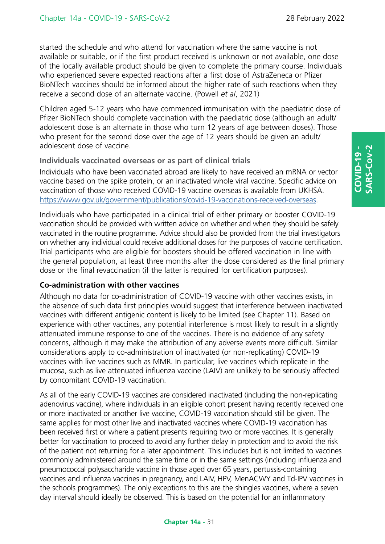started the schedule and who attend for vaccination where the same vaccine is not available or suitable, or if the first product received is unknown or not available, one dose of the locally available product should be given to complete the primary course. Individuals who experienced severe expected reactions after a first dose of AstraZeneca or Pfizer BioNTech vaccines should be informed about the higher rate of such reactions when they receive a second dose of an alternate vaccine. (Powell *et al*, 2021)

Children aged 5-12 years who have commenced immunisation with the paediatric dose of Pfizer BioNTech should complete vaccination with the paediatric dose (although an adult/ adolescent dose is an alternate in those who turn 12 years of age between doses). Those who present for the second dose over the age of 12 years should be given an adult/ adolescent dose of vaccine.

### **Individuals vaccinated overseas or as part of clinical trials**

Individuals who have been vaccinated abroad are likely to have received an mRNA or vector vaccine based on the spike protein, or an inactivated whole viral vaccine. Specific advice on vaccination of those who received COVID-19 vaccine overseas is available from UKHSA. [https://www.gov.uk/government/publications/covid-19-vaccinations-received-overseas.](https://www.gov.uk/government/publications/covid-19-vaccinations-received-overseas)

Individuals who have participated in a clinical trial of either primary or booster COVID-19 vaccination should be provided with written advice on whether and when they should be safely vaccinated in the routine programme. Advice should also be provided from the trial investigators on whether any individual could receive additional doses for the purposes of vaccine certification. Trial participants who are eligible for boosters should be offered vaccination in line with the general population, at least three months after the dose considered as the final primary dose or the final revaccination (if the latter is required for certification purposes).

### **Co-administration with other vaccines**

Although no data for co-administration of COVID-19 vaccine with other vaccines exists, in the absence of such data first principles would suggest that interference between inactivated vaccines with different antigenic content is likely to be limited (see Chapter 11). Based on experience with other vaccines, any potential interference is most likely to result in a slightly attenuated immune response to one of the vaccines. There is no evidence of any safety concerns, although it may make the attribution of any adverse events more difficult. Similar considerations apply to co-administration of inactivated (or non-replicating) COVID-19 vaccines with live vaccines such as MMR. In particular, live vaccines which replicate in the mucosa, such as live attenuated influenza vaccine (LAIV) are unlikely to be seriously affected by concomitant COVID-19 vaccination.

As all of the early COVID-19 vaccines are considered inactivated (including the non-replicating adenovirus vaccine), where individuals in an eligible cohort present having recently received one or more inactivated or another live vaccine, COVID-19 vaccination should still be given. The same applies for most other live and inactivated vaccines where COVID-19 vaccination has been received first or where a patient presents requiring two or more vaccines. It is generally better for vaccination to proceed to avoid any further delay in protection and to avoid the risk of the patient not returning for a later appointment. This includes but is not limited to vaccines commonly administered around the same time or in the same settings (including influenza and pneumococcal polysaccharide vaccine in those aged over 65 years, pertussis-containing vaccines and influenza vaccines in pregnancy, and LAIV, HPV, MenACWY and Td-IPV vaccines in the schools programmes). The only exceptions to this are the shingles vaccines, where a seven day interval should ideally be observed. This is based on the potential for an inflammatory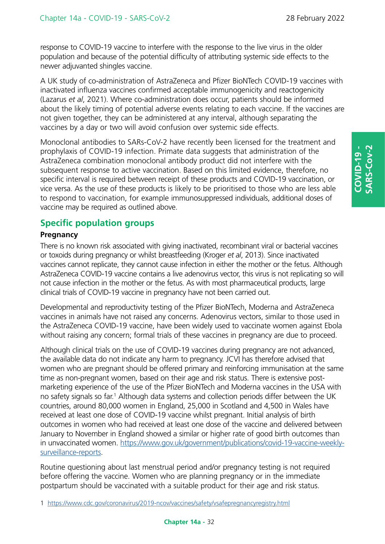response to COVID-19 vaccine to interfere with the response to the live virus in the older population and because of the potential difficulty of attributing systemic side effects to the newer adjuvanted shingles vaccine.

A UK study of co-administration of AstraZeneca and Pfizer BioNTech COVID-19 vaccines with inactivated influenza vaccines confirmed acceptable immunogenicity and reactogenicity (Lazarus *et al*, 2021). Where co-administration does occur, patients should be informed about the likely timing of potential adverse events relating to each vaccine. If the vaccines are not given together, they can be administered at any interval, although separating the vaccines by a day or two will avoid confusion over systemic side effects.

Monoclonal antibodies to SARs-CoV-2 have recently been licensed for the treatment and prophylaxis of COVID-19 infection. Primate data suggests that administration of the AstraZeneca combination monoclonal antibody product did not interfere with the subsequent response to active vaccination. Based on this limited evidence, therefore, no specific interval is required between receipt of these products and COVID-19 vaccination, or vice versa. As the use of these products is likely to be prioritised to those who are less able to respond to vaccination, for example immunosuppressed individuals, additional doses of vaccine may be required as outlined above.

# **Specific population groups**

### **Pregnancy**

There is no known risk associated with giving inactivated, recombinant viral or bacterial vaccines or toxoids during pregnancy or whilst breastfeeding (Kroger *et al*, 2013). Since inactivated vaccines cannot replicate, they cannot cause infection in either the mother or the fetus. Although AstraZeneca COVID-19 vaccine contains a live adenovirus vector, this virus is not replicating so will not cause infection in the mother or the fetus. As with most pharmaceutical products, large clinical trials of COVID-19 vaccine in pregnancy have not been carried out.

Developmental and reproductivity testing of the Pfizer BioNTech, Moderna and AstraZeneca vaccines in animals have not raised any concerns. Adenovirus vectors, similar to those used in the AstraZeneca COVID-19 vaccine, have been widely used to vaccinate women against Ebola without raising any concern; formal trials of these vaccines in pregnancy are due to proceed.

Although clinical trials on the use of COVID-19 vaccines during pregnancy are not advanced, the available data do not indicate any harm to pregnancy. JCVI has therefore advised that women who are pregnant should be offered primary and reinforcing immunisation at the same time as non-pregnant women, based on their age and risk status. There is extensive postmarketing experience of the use of the Pfizer BioNTech and Moderna vaccines in the USA with no safety signals so far.<sup>1</sup> Although data systems and collection periods differ between the UK countries, around 80,000 women in England, 25,000 in Scotland and 4,500 in Wales have received at least one dose of COVID-19 vaccine whilst pregnant. Initial analysis of birth outcomes in women who had received at least one dose of the vaccine and delivered between January to November in England showed a similar or higher rate of good birth outcomes than in unvaccinated women. [https://www.gov.uk/government/publications/covid-19-vaccine-weekly](https://www.gov.uk/government/publications/covid-19-vaccine-weekly-surveillance-reports)[surveillance-reports.](https://www.gov.uk/government/publications/covid-19-vaccine-weekly-surveillance-reports)

Routine questioning about last menstrual period and/or pregnancy testing is not required before offering the vaccine. Women who are planning pregnancy or in the immediate postpartum should be vaccinated with a suitable product for their age and risk status.

1 <https://www.cdc.gov/coronavirus/2019-ncov/vaccines/safety/vsafepregnancyregistry.html>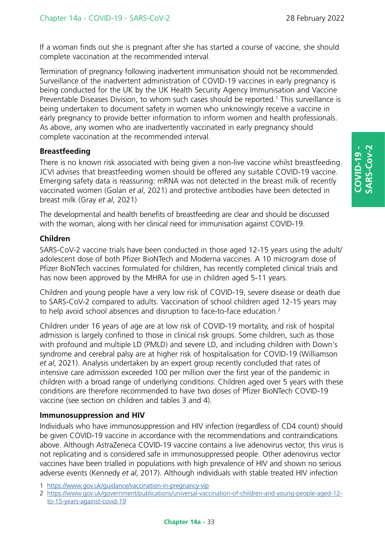If a woman finds out she is pregnant after she has started a course of vaccine, she should complete vaccination at the recommended interval.

Termination of pregnancy following inadvertent immunisation should not be recommended. Surveillance of the inadvertent administration of COVID-19 vaccines in early pregnancy is being conducted for the UK by the UK Health Security Agency Immunisation and Vaccine Preventable Diseases Division, to whom such cases should be reported.<sup>1</sup> This surveillance is being undertaken to document safety in women who unknowingly receive a vaccine in early pregnancy to provide better information to inform women and health professionals. As above, any women who are inadvertently vaccinated in early pregnancy should complete vaccination at the recommended interval.

### **Breastfeeding**

There is no known risk associated with being given a non-live vaccine whilst breastfeeding. JCVI advises that breastfeeding women should be offered any suitable COVID-19 vaccine. Emerging safety data is reassuring: mRNA was not detected in the breast milk of recently vaccinated women (Golan *et al*, 2021) and protective antibodies have been detected in breast milk (Gray *et al*, 2021)

The developmental and health benefits of breastfeeding are clear and should be discussed with the woman, along with her clinical need for immunisation against COVID-19.

### **Children**

SARS-CoV-2 vaccine trials have been conducted in those aged 12-15 years using the adult/ adolescent dose of both Pfizer BioNTech and Moderna vaccines. A 10 microgram dose of Pfizer BioNTech vaccines formulated for children, has recently completed clinical trials and has now been approved by the MHRA for use in children aged 5-11 years.

Children and young people have a very low risk of COVID-19, severe disease or death due to SARS-CoV-2 compared to adults. Vaccination of school children aged 12-15 years may to help avoid school absences and disruption to face-to-face education.<sup>2</sup>

Children under 16 years of age are at low risk of COVID-19 mortality, and risk of hospital admission is largely confined to those in clinical risk groups. Some children, such as those with profound and multiple LD (PMLD) and severe LD, and including children with Down's syndrome and cerebral palsy are at higher risk of hospitalisation for COVID-19 (Williamson *et al*, 2021). Analysis undertaken by an expert group recently concluded that rates of intensive care admission exceeded 100 per million over the first year of the pandemic in children with a broad range of underlying conditions. Children aged over 5 years with these conditions are therefore recommended to have two doses of Pfizer BioNTech COVID-19 vaccine (see section on children and tables 3 and 4).

### **Immunosuppression and HIV**

Individuals who have immunosuppression and HIV infection (regardless of CD4 count) should be given COVID-19 vaccine in accordance with the recommendations and contraindications above. Although AstraZeneca COVID-19 vaccine contains a live adenovirus vector, this virus is not replicating and is considered safe in immunosuppressed people. Other adenovirus vector vaccines have been trialled in populations with high prevalence of HIV and shown no serious adverse events (Kennedy *et al*, 2017). Although individuals with stable treated HIV infection

2 [https://www.gov.uk/government/publications/universal-vaccination-of-children-and-young-people-aged-12](https://www.gov.uk/government/publications/universal-vaccination-of-children-and-young-people-aged-12-to-15-years-against-covid-19) [to-15-years-against-covid-19](https://www.gov.uk/government/publications/universal-vaccination-of-children-and-young-people-aged-12-to-15-years-against-covid-19)

<sup>1</sup> [https://www.gov.uk/guidance/vaccination-in-pregnancy-vip](https://www.gov.uk/guidance/vaccination-in-pregnancy-vip.)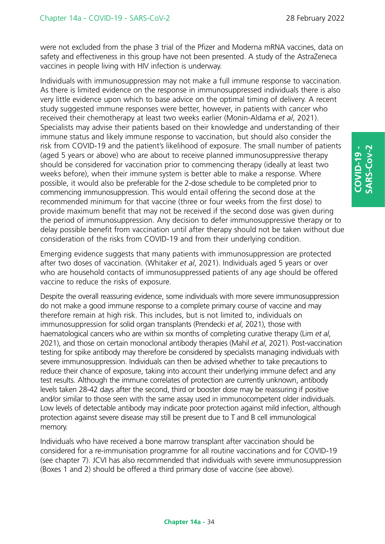were not excluded from the phase 3 trial of the Pfizer and Moderna mRNA vaccines, data on safety and effectiveness in this group have not been presented. A study of the AstraZeneca vaccines in people living with HIV infection is underway.

Individuals with immunosuppression may not make a full immune response to vaccination. As there is limited evidence on the response in immunosuppressed individuals there is also very little evidence upon which to base advice on the optimal timing of delivery. A recent study suggested immune responses were better, however, in patients with cancer who received their chemotherapy at least two weeks earlier (Monin-Aldama *et al*, 2021). Specialists may advise their patients based on their knowledge and understanding of their immune status and likely immune response to vaccination, but should also consider the risk from COVID-19 and the patient's likelihood of exposure. The small number of patients (aged 5 years or above) who are about to receive planned immunosuppressive therapy should be considered for vaccination prior to commencing therapy (ideally at least two weeks before), when their immune system is better able to make a response. Where possible, it would also be preferable for the 2-dose schedule to be completed prior to commencing immunosuppression. This would entail offering the second dose at the recommended minimum for that vaccine (three or four weeks from the first dose) to provide maximum benefit that may not be received if the second dose was given during the period of immunosuppression. Any decision to defer immunosuppressive therapy or to delay possible benefit from vaccination until after therapy should not be taken without due consideration of the risks from COVID-19 and from their underlying condition.

Emerging evidence suggests that many patients with immunosuppression are protected after two doses of vaccination. (Whitaker *et al*, 2021). Individuals aged 5 years or over who are household contacts of immunosuppressed patients of any age should be offered vaccine to reduce the risks of exposure.

Despite the overall reassuring evidence, some individuals with more severe immunosuppression do not make a good immune response to a complete primary course of vaccine and may therefore remain at high risk. This includes, but is not limited to, individuals on immunosuppression for solid organ transplants (Prendecki *et al*, 2021), those with haematological cancers who are within six months of completing curative therapy (Lim *et al*, 2021), and those on certain monoclonal antibody therapies (Mahil *et al*, 2021). Post-vaccination testing for spike antibody may therefore be considered by specialists managing individuals with severe immunosuppression. Individuals can then be advised whether to take precautions to reduce their chance of exposure, taking into account their underlying immune defect and any test results. Although the immune correlates of protection are currently unknown, antibody levels taken 28-42 days after the second, third or booster dose may be reassuring if positive and/or similar to those seen with the same assay used in immunocompetent older individuals. Low levels of detectable antibody may indicate poor protection against mild infection, although protection against severe disease may still be present due to T and B cell immunological memory.

Individuals who have received a bone marrow transplant after vaccination should be considered for a re-immunisation programme for all routine vaccinations and for COVID-19 (see chapter 7). JCVI has also recommended that individuals with severe immunosuppression (Boxes 1 and 2) should be offered a third primary dose of vaccine (see above).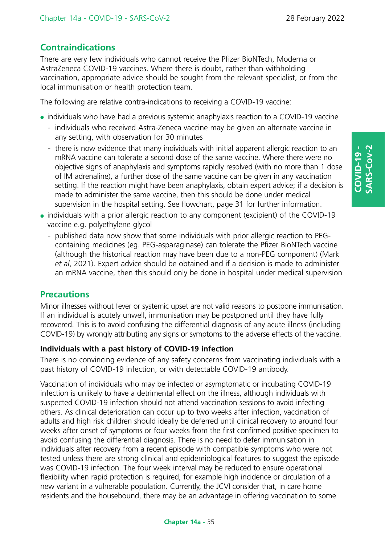# **Contraindications**

There are very few individuals who cannot receive the Pfizer BioNTech, Moderna or AstraZeneca COVID-19 vaccines. Where there is doubt, rather than withholding vaccination, appropriate advice should be sought from the relevant specialist, or from the local immunisation or health protection team.

The following are relative contra-indications to receiving a COVID-19 vaccine:

- individuals who have had a previous systemic anaphylaxis reaction to a COVID-19 vaccine
	- individuals who received Astra-Zeneca vaccine may be given an alternate vaccine in any setting, with observation for 30 minutes
	- there is now evidence that many individuals with initial apparent allergic reaction to an mRNA vaccine can tolerate a second dose of the same vaccine. Where there were no objective signs of anaphylaxis and symptoms rapidly resolved (with no more than 1 dose of IM adrenaline), a further dose of the same vaccine can be given in any vaccination setting. If the reaction might have been anaphylaxis, obtain expert advice; if a decision is made to administer the same vaccine, then this should be done under medical supervision in the hospital setting. See flowchart, page 31 for further information.
- individuals with a prior allergic reaction to any component (excipient) of the COVID-19 vaccine e.g. polyethylene glycol
	- published data now show that some individuals with prior allergic reaction to PEGcontaining medicines (eg. PEG-asparaginase) can tolerate the Pfizer BioNTech vaccine (although the historical reaction may have been due to a non-PEG component) (Mark *et al*, 2021). Expert advice should be obtained and if a decision is made to administer an mRNA vaccine, then this should only be done in hospital under medical supervision

# **Precautions**

Minor illnesses without fever or systemic upset are not valid reasons to postpone immunisation. If an individual is acutely unwell, immunisation may be postponed until they have fully recovered. This is to avoid confusing the differential diagnosis of any acute illness (including COVID-19) by wrongly attributing any signs or symptoms to the adverse effects of the vaccine.

### **Individuals with a past history of COVID-19 infection**

There is no convincing evidence of any safety concerns from vaccinating individuals with a past history of COVID-19 infection, or with detectable COVID-19 antibody.

Vaccination of individuals who may be infected or asymptomatic or incubating COVID-19 infection is unlikely to have a detrimental effect on the illness, although individuals with suspected COVID-19 infection should not attend vaccination sessions to avoid infecting others. As clinical deterioration can occur up to two weeks after infection, vaccination of adults and high risk children should ideally be deferred until clinical recovery to around four weeks after onset of symptoms or four weeks from the first confirmed positive specimen to avoid confusing the differential diagnosis. There is no need to defer immunisation in individuals after recovery from a recent episode with compatible symptoms who were not tested unless there are strong clinical and epidemiological features to suggest the episode was COVID-19 infection. The four week interval may be reduced to ensure operational flexibility when rapid protection is required, for example high incidence or circulation of a new variant in a vulnerable population. Currently, the JCVI consider that, in care home residents and the housebound, there may be an advantage in offering vaccination to some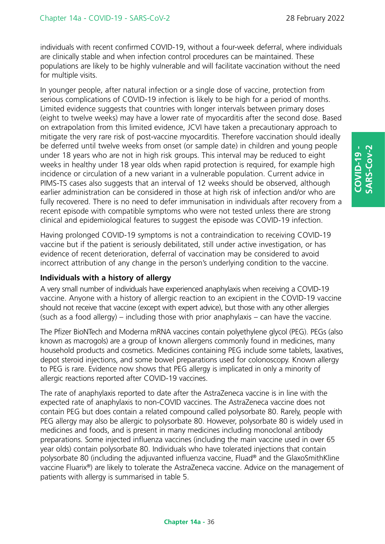individuals with recent confirmed COVID-19, without a four-week deferral, where individuals are clinically stable and when infection control procedures can be maintained. These populations are likely to be highly vulnerable and will facilitate vaccination without the need for multiple visits.

In younger people, after natural infection or a single dose of vaccine, protection from serious complications of COVID-19 infection is likely to be high for a period of months. Limited evidence suggests that countries with longer intervals between primary doses (eight to twelve weeks) may have a lower rate of myocarditis after the second dose. Based on extrapolation from this limited evidence, JCVI have taken a precautionary approach to mitigate the very rare risk of post-vaccine myocarditis. Therefore vaccination should ideally be deferred until twelve weeks from onset (or sample date) in children and young people under 18 years who are not in high risk groups. This interval may be reduced to eight weeks in healthy under 18 year olds when rapid protection is required, for example high incidence or circulation of a new variant in a vulnerable population. Current advice in PIMS-TS cases also suggests that an interval of 12 weeks should be observed, although earlier administration can be considered in those at high risk of infection and/or who are fully recovered. There is no need to defer immunisation in individuals after recovery from a recent episode with compatible symptoms who were not tested unless there are strong clinical and epidemiological features to suggest the episode was COVID-19 infection.

Having prolonged COVID-19 symptoms is not a contraindication to receiving COVID-19 vaccine but if the patient is seriously debilitated, still under active investigation, or has evidence of recent deterioration, deferral of vaccination may be considered to avoid incorrect attribution of any change in the person's underlying condition to the vaccine.

### **Individuals with a history of allergy**

A very small number of individuals have experienced anaphylaxis when receiving a COVID-19 vaccine. Anyone with a history of allergic reaction to an excipient in the COVID-19 vaccine should not receive that vaccine (except with expert advice), but those with any other allergies (such as a food allergy) – including those with prior anaphylaxis – can have the vaccine.

The Pfizer BioNTech and Moderna mRNA vaccines contain polyethylene glycol (PEG). PEGs (also known as macrogols) are a group of known allergens commonly found in medicines, many household products and cosmetics. Medicines containing PEG include some tablets, laxatives, depot steroid injections, and some bowel preparations used for colonoscopy. Known allergy to PEG is rare. Evidence now shows that PEG allergy is implicated in only a minority of allergic reactions reported after COVID-19 vaccines.

The rate of anaphylaxis reported to date after the AstraZeneca vaccine is in line with the expected rate of anaphylaxis to non-COVID vaccines. The AstraZeneca vaccine does not contain PEG but does contain a related compound called polysorbate 80. Rarely, people with PEG allergy may also be allergic to polysorbate 80. However, polysorbate 80 is widely used in medicines and foods, and is present in many medicines including monoclonal antibody preparations. Some injected influenza vaccines (including the main vaccine used in over 65 year olds) contain polysorbate 80. Individuals who have tolerated injections that contain polysorbate 80 (including the adjuvanted influenza vaccine, Fluad® and the GlaxoSmithKline vaccine Fluarix®) are likely to tolerate the AstraZeneca vaccine. Advice on the management of patients with allergy is summarised in table 5.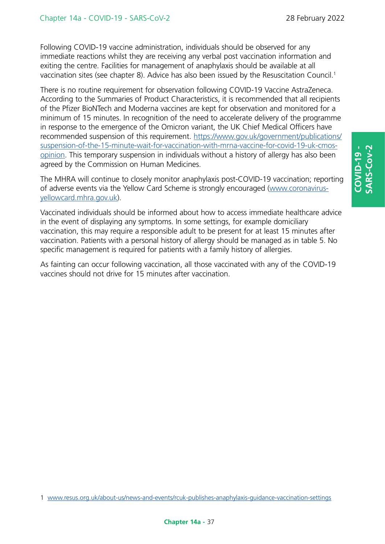Following COVID-19 vaccine administration, individuals should be observed for any immediate reactions whilst they are receiving any verbal post vaccination information and exiting the centre. Facilities for management of anaphylaxis should be available at all vaccination sites (see chapter 8). Advice has also been issued by the Resuscitation Council.<sup>1</sup>

There is no routine requirement for observation following COVID-19 Vaccine AstraZeneca. According to the Summaries of Product Characteristics, it is recommended that all recipients of the Pfizer BioNTech and Moderna vaccines are kept for observation and monitored for a minimum of 15 minutes. In recognition of the need to accelerate delivery of the programme in response to the emergence of the Omicron variant, the UK Chief Medical Officers have recommended suspension of this requirement. [https://www.gov.uk/government/publications/](https://www.gov.uk/government/publications/suspension-of-the-15-minute-wait-for-vaccination-with-mrna-vaccine-for-covid-19-uk-cmos-opinion) [suspension-of-the-15-minute-wait-for-vaccination-with-mrna-vaccine-for-covid-19-uk-cmos](https://www.gov.uk/government/publications/suspension-of-the-15-minute-wait-for-vaccination-with-mrna-vaccine-for-covid-19-uk-cmos-opinion)[opinion](https://www.gov.uk/government/publications/suspension-of-the-15-minute-wait-for-vaccination-with-mrna-vaccine-for-covid-19-uk-cmos-opinion). This temporary suspension in individuals without a history of allergy has also been agreed by the Commission on Human Medicines.

The MHRA will continue to closely monitor anaphylaxis post-COVID-19 vaccination; reporting of adverse events via the Yellow Card Scheme is strongly encouraged [\(www.coronavirus](www.coronavirus-yellowcard.mhra.gov.uk)[yellowcard.mhra.gov.uk](www.coronavirus-yellowcard.mhra.gov.uk)).

Vaccinated individuals should be informed about how to access immediate healthcare advice in the event of displaying any symptoms. In some settings, for example domiciliary vaccination, this may require a responsible adult to be present for at least 15 minutes after vaccination. Patients with a personal history of allergy should be managed as in table 5. No specific management is required for patients with a family history of allergies.

As fainting can occur following vaccination, all those vaccinated with any of the COVID-19 vaccines should not drive for 15 minutes after vaccination.

<sup>1</sup> <www.resus.org.uk/about-us/news-and-events/rcuk-publishes-anaphylaxis-guidance-vaccination-settings>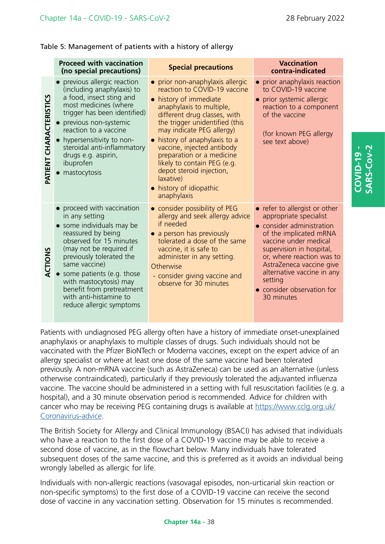**COVID-19 - SARS-Cov-2**

CVID-19

Table 5: Management of patients with a history of allergy

|                               | <b>Proceed with vaccination</b><br>(no special precautions)                                                                                                                                                                                                                                                                                  | <b>Special precautions</b>                                                                                                                                                                                                                                                                                                                                                                                                        | <b>Vaccination</b><br>contra-indicated                                                                                                                                                                                                                                                                            |
|-------------------------------|----------------------------------------------------------------------------------------------------------------------------------------------------------------------------------------------------------------------------------------------------------------------------------------------------------------------------------------------|-----------------------------------------------------------------------------------------------------------------------------------------------------------------------------------------------------------------------------------------------------------------------------------------------------------------------------------------------------------------------------------------------------------------------------------|-------------------------------------------------------------------------------------------------------------------------------------------------------------------------------------------------------------------------------------------------------------------------------------------------------------------|
| <b>ATIENT CHARACTERISTICS</b> | • previous allergic reaction<br>(including anaphylaxis) to<br>a food, insect sting and<br>most medicines (where<br>trigger has been identified)<br>• previous non-systemic<br>reaction to a vaccine<br>• hypersensitivity to non-<br>steroidal anti-inflammatory<br>drugs e.g. aspirin,<br>ibuprofen<br>mastocytosis                         | • prior non-anaphylaxis allergic<br>reaction to COVID-19 vaccine<br>• history of immediate<br>anaphylaxis to multiple,<br>different drug classes, with<br>the trigger unidentified (this<br>may indicate PEG allergy)<br>history of anaphylaxis to a<br>vaccine, injected antibody<br>preparation or a medicine<br>likely to contain PEG (e.g.<br>depot steroid injection,<br>laxative)<br>• history of idiopathic<br>anaphylaxis | • prior anaphylaxis reaction<br>to COVID-19 vaccine<br>• prior systemic allergic<br>reaction to a component<br>of the vaccine<br>(for known PEG allergy<br>see text above)                                                                                                                                        |
| <b>ACTIONS</b>                | proceed with vaccination<br>in any setting<br>• some individuals may be<br>reassured by being<br>observed for 15 minutes<br>(may not be required if<br>previously tolerated the<br>same vaccine)<br>• some patients (e.g. those<br>with mastocytosis) may<br>benefit from pretreatment<br>with anti-histamine to<br>reduce allergic symptoms | • consider possibility of PEG<br>allergy and seek allergy advice<br>if needed<br>• a person has previously<br>tolerated a dose of the same<br>vaccine, it is safe to<br>administer in any setting.<br>Otherwise<br>- consider giving vaccine and<br>observe for 30 minutes                                                                                                                                                        | • refer to allergist or other<br>appropriate specialist<br>• consider administration<br>of the implicated mRNA<br>vaccine under medical<br>supervision in hospital,<br>or, where reaction was to<br>AstraZeneca vaccine give<br>alternative vaccine in any<br>setting<br>• consider observation for<br>30 minutes |

Patients with undiagnosed PEG allergy often have a history of immediate onset-unexplained anaphylaxis or anaphylaxis to multiple classes of drugs. Such individuals should not be vaccinated with the Pfizer BioNTech or Moderna vaccines, except on the expert advice of an allergy specialist or where at least one dose of the same vaccine had been tolerated previously. A non-mRNA vaccine (such as AstraZeneca) can be used as an alternative (unless otherwise contraindicated), particularly if they previously tolerated the adjuvanted influenza vaccine. The vaccine should be administered in a setting with full resuscitation facilities (e.g. a hospital), and a 30 minute observation period is recommended. Advice for children with cancer who may be receiving PEG containing drugs is available at [https://www.cclg.org.uk/](https://www.cclg.org.uk/Coronavirus-advice) [Coronavirus-advice](https://www.cclg.org.uk/Coronavirus-advice).

The British Society for Allergy and Clinical Immunology (BSACI) has advised that individuals who have a reaction to the first dose of a COVID-19 vaccine may be able to receive a second dose of vaccine, as in the flowchart below. Many individuals have tolerated subsequent doses of the same vaccine, and this is preferred as it avoids an individual being wrongly labelled as allergic for life.

Individuals with non-allergic reactions (vasovagal episodes, non-urticarial skin reaction or non-specific symptoms) to the first dose of a COVID-19 vaccine can receive the second dose of vaccine in any vaccination setting. Observation for 15 minutes is recommended.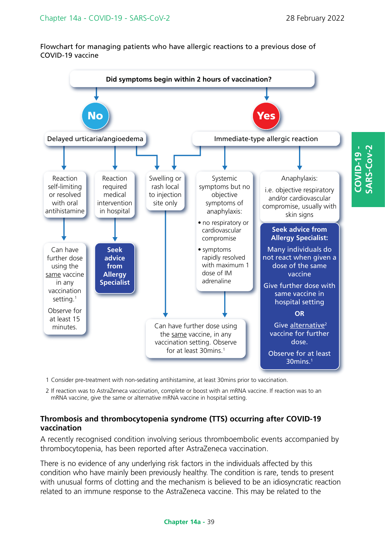Flowchart for managing patients who have allergic reactions to a previous dose of COVID-19 vaccine



- 1 Consider pre-treatment with non-sedating antihistamine, at least 30mins prior to vaccination.
- 2 If reaction was to AstraZeneca vaccination, complete or boost with an mRNA vaccine. If reaction was to an mRNA vaccine, give the same or alternative mRNA vaccine in hospital setting.

### **Thrombosis and thrombocytopenia syndrome (TTS) occurring after COVID-19 vaccination**

A recently recognised condition involving serious thromboembolic events accompanied by thrombocytopenia, has been reported after AstraZeneca vaccination.

There is no evidence of any underlying risk factors in the individuals affected by this condition who have mainly been previously healthy. The condition is rare, tends to present with unusual forms of clotting and the mechanism is believed to be an idiosyncratic reaction related to an immune response to the AstraZeneca vaccine. This may be related to the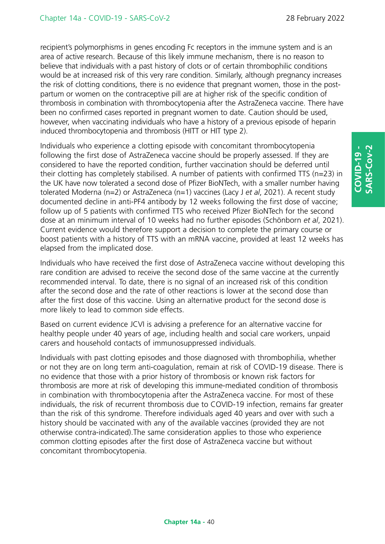recipient's polymorphisms in genes encoding Fc receptors in the immune system and is an area of active research. Because of this likely immune mechanism, there is no reason to believe that individuals with a past history of clots or of certain thrombophilic conditions would be at increased risk of this very rare condition. Similarly, although pregnancy increases the risk of clotting conditions, there is no evidence that pregnant women, those in the postpartum or women on the contraceptive pill are at higher risk of the specific condition of thrombosis in combination with thrombocytopenia after the AstraZeneca vaccine. There have been no confirmed cases reported in pregnant women to date. Caution should be used, however, when vaccinating individuals who have a history of a previous episode of heparin induced thrombocytopenia and thrombosis (HITT or HIT type 2).

Individuals who experience a clotting episode with concomitant thrombocytopenia following the first dose of AstraZeneca vaccine should be properly assessed. If they are considered to have the reported condition, further vaccination should be deferred until their clotting has completely stabilised. A number of patients with confirmed TTS (n=23) in the UK have now tolerated a second dose of Pfizer BioNTech, with a smaller number having tolerated Moderna (n=2) or AstraZeneca (n=1) vaccines (Lacy J *et al*, 2021). A recent study documented decline in anti-PF4 antibody by 12 weeks following the first dose of vaccine; follow up of 5 patients with confirmed TTS who received Pfizer BioNTech for the second dose at an minimum interval of 10 weeks had no further episodes (Schönborn *et al*, 2021). Current evidence would therefore support a decision to complete the primary course or boost patients with a history of TTS with an mRNA vaccine, provided at least 12 weeks has elapsed from the implicated dose.

Individuals who have received the first dose of AstraZeneca vaccine without developing this rare condition are advised to receive the second dose of the same vaccine at the currently recommended interval. To date, there is no signal of an increased risk of this condition after the second dose and the rate of other reactions is lower at the second dose than after the first dose of this vaccine. Using an alternative product for the second dose is more likely to lead to common side effects.

Based on current evidence JCVI is advising a preference for an alternative vaccine for healthy people under 40 years of age, including health and social care workers, unpaid carers and household contacts of immunosuppressed individuals.

Individuals with past clotting episodes and those diagnosed with thrombophilia, whether or not they are on long term anti-coagulation, remain at risk of COVID-19 disease. There is no evidence that those with a prior history of thrombosis or known risk factors for thrombosis are more at risk of developing this immune-mediated condition of thrombosis in combination with thrombocytopenia after the AstraZeneca vaccine. For most of these individuals, the risk of recurrent thrombosis due to COVID-19 infection, remains far greater than the risk of this syndrome. Therefore individuals aged 40 years and over with such a history should be vaccinated with any of the available vaccines (provided they are not otherwise contra-indicated).The same consideration applies to those who experience common clotting episodes after the first dose of AstraZeneca vaccine but without concomitant thrombocytopenia.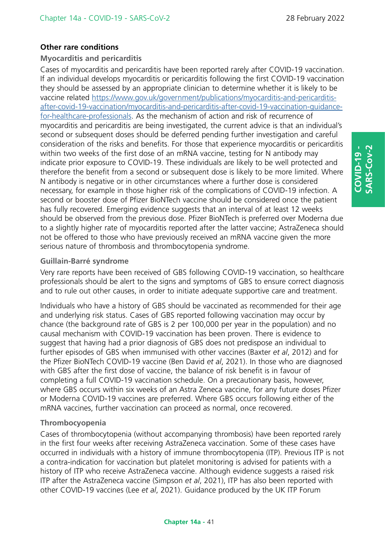### **Other rare conditions**

### **Myocarditis and pericarditis**

Cases of myocarditis and pericarditis have been reported rarely after COVID-19 vaccination. If an individual develops myocarditis or pericarditis following the first COVID-19 vaccination they should be assessed by an appropriate clinician to determine whether it is likely to be vaccine related [https://www.gov.uk/government/publications/myocarditis-and-pericarditis](https://www.gov.uk/government/publications/myocarditis-and-pericarditis-after-covid-19-vaccination/myocarditis-and-pericarditis-after-covid-19-vaccination-guidance-for-healthcare-professionals)[after-covid-19-vaccination/myocarditis-and-pericarditis-after-covid-19-vaccination-guidance](https://www.gov.uk/government/publications/myocarditis-and-pericarditis-after-covid-19-vaccination/myocarditis-and-pericarditis-after-covid-19-vaccination-guidance-for-healthcare-professionals)[for-healthcare-professionals](https://www.gov.uk/government/publications/myocarditis-and-pericarditis-after-covid-19-vaccination/myocarditis-and-pericarditis-after-covid-19-vaccination-guidance-for-healthcare-professionals). As the mechanism of action and risk of recurrence of myocarditis and pericarditis are being investigated, the current advice is that an individual's second or subsequent doses should be deferred pending further investigation and careful consideration of the risks and benefits. For those that experience myocarditis or pericarditis within two weeks of the first dose of an mRNA vaccine, testing for N antibody may indicate prior exposure to COVID-19. These individuals are likely to be well protected and therefore the benefit from a second or subsequent dose is likely to be more limited. Where N antibody is negative or in other circumstances where a further dose is considered necessary, for example in those higher risk of the complications of COVID-19 infection. A second or booster dose of Pfizer BioNTech vaccine should be considered once the patient has fully recovered. Emerging evidence suggests that an interval of at least 12 weeks should be observed from the previous dose. Pfizer BioNTech is preferred over Moderna due to a slightly higher rate of myocarditis reported after the latter vaccine; AstraZeneca should not be offered to those who have previously received an mRNA vaccine given the more serious nature of thrombosis and thrombocytopenia syndrome.

### **Guillain-Barré syndrome**

Very rare reports have been received of GBS following COVID-19 vaccination, so healthcare professionals should be alert to the signs and symptoms of GBS to ensure correct diagnosis and to rule out other causes, in order to initiate adequate supportive care and treatment.

Individuals who have a history of GBS should be vaccinated as recommended for their age and underlying risk status. Cases of GBS reported following vaccination may occur by chance (the background rate of GBS is 2 per 100,000 per year in the population) and no causal mechanism with COVID-19 vaccination has been proven. There is evidence to suggest that having had a prior diagnosis of GBS does not predispose an individual to further episodes of GBS when immunised with other vaccines (Baxter *et al*, 2012) and for the Pfizer BioNTech COVID-19 vaccine (Ben David *et al*, 2021). In those who are diagnosed with GBS after the first dose of vaccine, the balance of risk benefit is in favour of completing a full COVID-19 vaccination schedule. On a precautionary basis, however, where GBS occurs within six weeks of an Astra Zeneca vaccine, for any future doses Pfizer or Moderna COVID-19 vaccines are preferred. Where GBS occurs following either of the mRNA vaccines, further vaccination can proceed as normal, once recovered.

### **Thrombocyopenia**

Cases of thrombocytopenia (without accompanying thrombosis) have been reported rarely in the first four weeks after receiving AstraZeneca vaccination. Some of these cases have occurred in individuals with a history of immune thrombocytopenia (ITP). Previous ITP is not a contra-indication for vaccination but platelet monitoring is advised for patients with a history of ITP who receive AstraZeneca vaccine. Although evidence suggests a raised risk ITP after the AstraZeneca vaccine (Simpson *et al*, 2021), ITP has also been reported with other COVID-19 vaccines (Lee *et al*, 2021). Guidance produced by the UK ITP Forum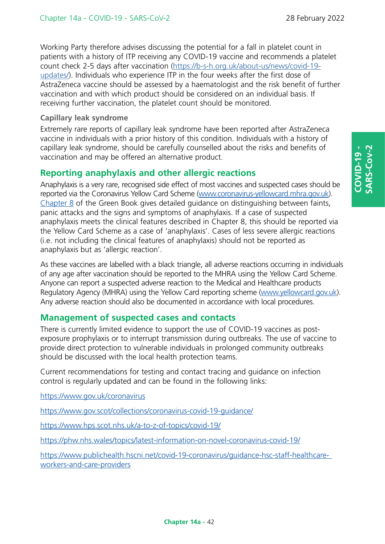Working Party therefore advises discussing the potential for a fall in platelet count in patients with a history of ITP receiving any COVID-19 vaccine and recommends a platelet count check 2-5 days after vaccination ([https://b-s-h.org.uk/about-us/news/covid-19](https://b-s-h.org.uk/about-us/news/covid-19-updates/) [updates/](https://b-s-h.org.uk/about-us/news/covid-19-updates/)). Individuals who experience ITP in the four weeks after the first dose of AstraZeneca vaccine should be assessed by a haematologist and the risk benefit of further vaccination and with which product should be considered on an individual basis. If receiving further vaccination, the platelet count should be monitored.

### **Capillary leak syndrome**

Extremely rare reports of capillary leak syndrome have been reported after AstraZeneca vaccine in individuals with a prior history of this condition. Individuals with a history of capillary leak syndrome, should be carefully counselled about the risks and benefits of vaccination and may be offered an alternative product.

# **Reporting anaphylaxis and other allergic reactions**

Anaphylaxis is a very rare, recognised side effect of most vaccines and suspected cases should be reported via the Coronavirus Yellow Card Scheme [\(www.coronavirus-yellowcard.mhra.gov.uk](https://coronavirus-yellowcard.mhra.gov.uk/)). [Chapter 8 of the Green Book g](https://www.gov.uk/government/publications/vaccine-safety-and-adverse-events-following-immunisation-the-green-book-chapter-8)ives detailed guidance on distinguishing between faints, panic attacks and the signs and symptoms of anaphylaxis. If a case of suspected anaphylaxis meets the clinical features described in Chapter 8, this should be reported via the Yellow Card Scheme as a case of 'anaphylaxis'. Cases of less severe allergic reactions (i.e. not including the clinical features of anaphylaxis) should not be reported as anaphylaxis but as 'allergic reaction'.

As these vaccines are labelled with a black triangle, all adverse reactions occurring in individuals of any age after vaccination should be reported to the MHRA using the Yellow Card Scheme. Anyone can report a suspected adverse reaction to the Medical and Healthcare products Regulatory Agency (MHRA) using the Yellow Card reporting scheme ([www.yellowcard.gov.uk\)](https://coronavirus-yellowcard.mhra.gov.uk/). Any adverse reaction should also be documented in accordance with local procedures.

# **Management of suspected cases and contacts**

There is currently limited evidence to support the use of COVID-19 vaccines as postexposure prophylaxis or to interrupt transmission during outbreaks. The use of vaccine to provide direct protection to vulnerable individuals in prolonged community outbreaks should be discussed with the local health protection teams.

Current recommendations for testing and contact tracing and guidance on infection control is regularly updated and can be found in the following links:

<https://www.gov.uk/coronavirus>

<https://www.gov.scot/collections/coronavirus-covid-19-guidance/>

<https://www.hps.scot.nhs.uk/a-to-z-of-topics/covid-19/>

<https://phw.nhs.wales/topics/latest-information-on-novel-coronavirus-covid-19/>

[https://www.publichealth.hscni.net/covid-19-coronavirus/guidance-hsc-staff-healthcar](https://www.publichealth.hscni.net/covid-19-coronavirus/guidance-hsc-staff-healthcare-workers-and-care-providers)eworkers-and-care-providers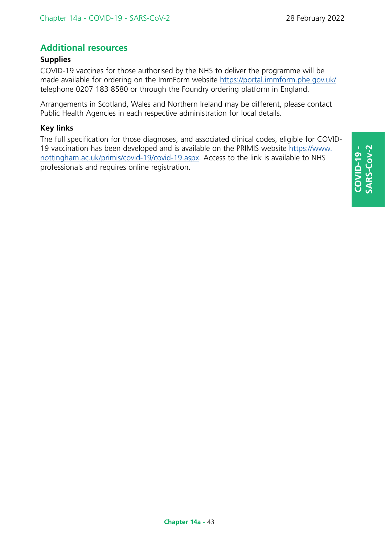# **Additional resources**

### **Supplies**

COVID-19 vaccines for those authorised by the NHS to deliver the programme will be made available for ordering on the ImmForm website <https://portal.immform.phe.gov.uk/> telephone 0207 183 8580 or through the Foundry ordering platform in England.

Arrangements in Scotland, Wales and Northern Ireland may be different, please contact Public Health Agencies in each respective administration for local details.

### **Key links**

The full specification for those diagnoses, and associated clinical codes, eligible for COVID-19 vaccination has been developed and is available on the PRIMIS website [https://www.](https://www.nottingham.ac.uk/primis/covid-19/covid-19.aspx) [nottingham.ac.uk/primis/covid-19/covid-19.aspx.](https://www.nottingham.ac.uk/primis/covid-19/covid-19.aspx) Access to the link is available to NHS professionals and requires online registration.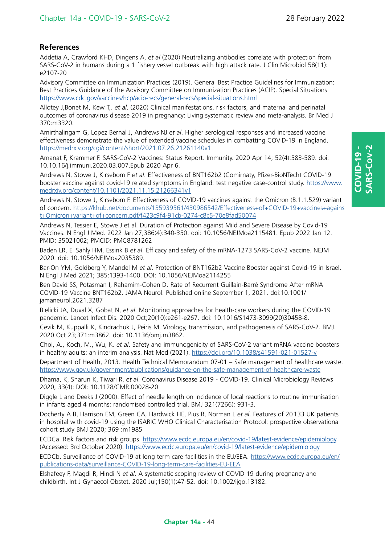### **References**

Addetia A, Crawford KHD, Dingens A, *et al* (2020) Neutralizing antibodies correlate with protection from SARS-CoV-2 in humans during a 1 fishery vessel outbreak with high attack rate. J Clin Microbiol 58(11): e2107-20

Advisory Committee on Immunization Practices (2019). General Best Practice Guidelines for Immunization: Best Practices Guidance of the Advisory Committee on Immunization Practices (ACIP). Special Situations <https://www.cdc.gov/vaccines/hcp/acip-recs/general-recs/special-situations.html>

Allotey J,Bonet M, Kew T,. *et al*. (2020) Clinical manifestations, risk factors, and maternal and perinatal outcomes of coronavirus disease 2019 in pregnancy: Living systematic review and meta-analysis. Br Med J 370:m3320.

Amirthalingam G, Lopez Bernal J, Andrews NJ *et al*. Higher serological responses and increased vaccine effectiveness demonstrate the value of extended vaccine schedules in combatting COVID-19 in England. <https://medrxiv.org/cgi/content/short/2021.07.26.21261140v1>

Amanat F, Krammer F. SARS-CoV-2 Vaccines: Status Report. Immunity. 2020 Apr 14; 52(4):583-589. doi: 10.10.16/j.immuni.2020.03.007.Epub 2020 Apr 6.

Andrews N, Stowe J, Kirsebom F *et al*. Effectiveness of BNT162b2 (Comirnaty, Pfizer-BioNTech) COVID-19 booster vaccine against covid-19 related symptoms in England: test negative case-control study. [https://www.](https://www.medrxiv.org/content/10.1101/2021.11.15.21266341v1) [medrxiv.org/content/10.1101/2021.11.15.21266341v1](https://www.medrxiv.org/content/10.1101/2021.11.15.21266341v1)

Andrews N, Stowe J, Kirsebom F. Effectiveness of COVID-19 vaccines against the Omicron (B.1.1.529) variant of concern. [https://khub.net/documents/135939561/430986542/Effectiveness+of+COVID-19+vaccines+agains](https://khub.net/documents/135939561/430986542/Effectiveness+of+COVID-19+vaccines+against+Omicron+variant+of+concern.pdf/f423c9f4-91cb-0274-c8c5-70e8fad50074) [t+Omicron+variant+of+concern.pdf/f423c9f4-91cb-0274-c8c5-70e8fad50074](https://khub.net/documents/135939561/430986542/Effectiveness+of+COVID-19+vaccines+against+Omicron+variant+of+concern.pdf/f423c9f4-91cb-0274-c8c5-70e8fad50074)

Andrews N, Tessier E, Stowe J et al. Duration of Protection against Mild and Severe Disease by Covid-19 Vaccines. N Engl J Med. 2022 Jan 27;386(4):340-350. doi: 10.1056/NEJMoa2115481. Epub 2022 Jan 12. PMID: 35021002; PMCID: PMC8781262

Baden LR, El Sahly HM, Essink B *et al*. Efficacy and safety of the mRNA-1273 SARS-CoV-2 vaccine. NEJM 2020. doi: 10.1056/NEJMoa2035389.

Bar-On YM, Goldberg Y, Mandel M *et al*. Protection of BNT162b2 Vaccine Booster against Covid-19 in Israel. N Engl J Med 2021; 385:1393-1400. DOI: 10.1056/NEJMoa2114255

Ben David SS, Potasman I, Rahamim-Cohen D. Rate of Recurrent Guillain-Barré Syndrome After mRNA COVID-19 Vaccine BNT162b2. JAMA Neurol. Published online September 1, 2021. doi:10.1001/ jamaneurol.2021.3287

Bielicki JA, Duval X, Gobat N, *et al*. Monitoring approaches for health-care workers during the COVID-19 pandemic. Lancet Infect Dis. 2020 Oct;20(10):e261-e267. doi: 10.1016/S1473-3099(20)30458-8.

Cevik M, Kuppalli K, Kindrachuk J, Peiris M. Virology, transmission, and pathogenesis of SARS-CoV-2. BMJ. 2020 Oct 23;371:m3862. doi: 10.1136/bmj.m3862.

Choi, A., Koch, M., Wu, K. *et al*. Safety and immunogenicity of SARS-CoV-2 variant mRNA vaccine boosters in healthy adults: an interim analysis. Nat Med (2021). <https://doi.org/10.1038/s41591-021-01527-y>

Department of Health, 2013. Health Technical Memorandum 07-01 – Safe management of healthcare waste. <https://www.gov.uk/government/publications/guidance-on-the-safe-management-of-healthcare-waste>

Dhama, K, Sharun K, Tiwari R, *et al*. Coronavirus Disease 2019 - COVID-19. Clinical Microbiology Reviews 2020, 33(4): DOI: 10.1128/CMR.00028-20

Diggle L and Deeks J (2000). Effect of needle length on incidence of local reactions to routine immunisation in infants aged 4 months: randomised controlled trial. BMJ 321(7266): 931-3.

Docherty A B, Harrison EM, Green CA, Hardwick HE, Pius R, Norman L *et al*. Features of 20133 UK patients in hospital with covid-19 using the ISARIC WHO Clinical Characterisation Protocol: prospective observational cohort study BMJ 2020; 369 :m1985

ECDCa. Risk factors and risk groups. [https://www.ecdc.europa.eu/en/covid-19/latest-evidence/epidemiology.](https://www.ecdc.europa.eu/en/covid-19/latest-evidence/epidemiology) (Accessed: 3rd October 2020). <https://www.ecdc.europa.eu/en/covid-19/latest-evidence/epidemiology>

ECDCb. Surveillance of COVID-19 at long term care facilities in the EU/EEA. [https://www.ecdc.europa.eu/en/](https://www.ecdc.europa.eu/en/publications-data/surveillance-COVID-19-long-term-care-facilities-EU-EEA) [publications-data/surveillance-COVID-19-long-term-care-facilities-EU-EEA](https://www.ecdc.europa.eu/en/publications-data/surveillance-COVID-19-long-term-care-facilities-EU-EEA)

Elshafeey F, Magdi R, Hindi N *et al*. A systematic scoping review of COVID 19 during pregnancy and childbirth. Int J Gynaecol Obstet. 2020 Jul;150(1):47-52. doi: 10.1002/ijgo.13182.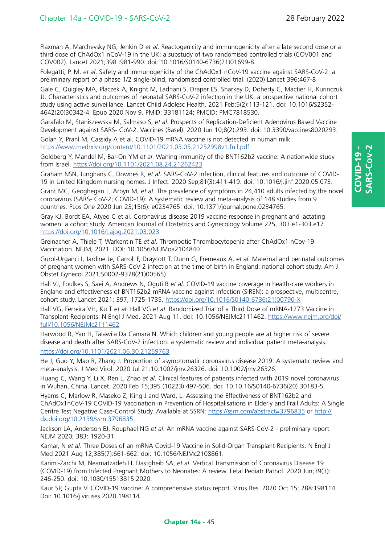Flaxman A, Marchevsky NG, Jenkin D *et al*. Reactogenicity and immunogenicity after a late second dose or a third dose of ChAdOx1 nCoV-19 in the UK: a substudy of two randomised controlled trials (COV001 and COV002). Lancet 2021;398 :981-990. doi: 10.1016/S0140-6736(21)01699-8.

Folegatti, P. M. *et al*. Safety and immunogenicity of the ChAdOx1 nCoV-19 vaccine against SARS-CoV-2: a preliminary report of a phase 1/2 single-blind, randomised controlled trial. (2020) Lancet 396:467-8

Gale C, Quigley MA, Placzek A, Knight M, Ladhani S, Draper ES, Sharkey D, Doherty C, Mactier H, Kurinczuk JJ. Characteristics and outcomes of neonatal SARS-CoV-2 infection in the UK: a prospective national cohort study using active surveillance. Lancet Child Adolesc Health. 2021 Feb;5(2):113-121. doi: 10.1016/S2352- 4642(20)30342-4. Epub 2020 Nov 9. PMID: 33181124; PMCID: PMC7818530.

Garafalo M, Staniszewska M, Salmaso S, *et al*. Prospects of Replication-Deficient Adenovirus Based Vaccine Development against SARS- CoV-2. Vaccines (Basel). 2020 Jun 10;8(2):293. doi: 10.3390/vaccines8020293.

Golan Y, Prahl M, Cassidy A et al. COVID-19 mRNA vaccine is not detected in human milk. <https://www.medrxiv.org/content/10.1101/2021.03.05.21252998v1.full.pdf>

Goldberg Y, Mandel M, Bar-On YM *et al*. Waning immunity of the BNT162b2 vaccine: A nationwide study from Israel.<https://doi.org/10.1101/2021.08.24.21262423>

Graham NSN, Junghans C, Downes R, *et al*. SARS-CoV-2 infection, clinical features and outcome of COVID-19 in United Kingdom nursing homes. J Infect. 2020 Sep;81(3):411-419. doi: 10.1016/j.jinf.2020.05.073.

Grant MC, Geoghegan L, Arbyn M, *et al*. The prevalence of symptoms in 24,410 adults infected by the novel coronavirus (SARS- CoV-2; COVID-19): A systematic review and meta-analysis of 148 studies from 9 countries. PLos One 2020 Jun 23;15(6): e0234765. doi: 10.1371/journal.pone.0234765.

Gray KJ, Bordt EA, Atyeo C et al. Coronavirus disease 2019 vaccine response in pregnant and lactating women: a cohort study. American Journal of Obstetrics and Gynecology Volume 225, 303.e1-303.e17. <https://doi.org/10.1016/j.ajog.2021.03.023>

Greinacher A, Thiele T, Warkentin TE *et al*. Thrombotic Thrombocytopenia after ChAdOx1 nCov-19 Vaccination. NEJM, 2021. DOI: 10.1056/NEJMoa2104840

Gurol-Urganci I, Jardine Je, Carroll F, Draycott T, Dunn G, Fremeaux A, *et al*. Maternal and perinatal outcomes of pregnant women with SARS-CoV-2 infection at the time of birth in England: national cohort study. Am J Obstet Gynecol 2021;S0002-9378(21)00565)

Hall VJ, Foulkes S, Saei A, Andrews N, Oguti B *et al*. COVID-19 vaccine coverage in health-care workers in England and effectiveness of BNT162b2 mRNA vaccine against infection (SIREN): a prospective, multicentre, cohort study. Lancet 2021; 397, 1725-1735. [https://doi.org/10.1016/S0140-6736\(21\)00790-X](https://doi.org/10.1016/S0140-6736(21)00790-X)

Hall VG, Ferreira VH, Ku T *et al*. Hall VG *et al*. Randomized Trial of a Third Dose of mRNA-1273 Vaccine in Transplant Recipients. N Engl J Med. 2021 Aug 11. doi: 10.1056/NEJMc2111462. [https://www.nejm.org/doi/](https://www.nejm.org/doi/full/10.1056/NEJMc2111462) [full/10.1056/NEJMc2111462](https://www.nejm.org/doi/full/10.1056/NEJMc2111462)

Harwood R, Yan H, Talawila Da Camara N. Which children and young people are at higher risk of severe disease and death after SARS-CoV-2 infection: a systematic review and individual patient meta-analysis. <https://doi.org/10.1101/2021.06.30.21259763>

He J, Guo Y, Mao R, Zhang J. Proportion of asymptomatic coronavirus disease 2019: A systematic review and meta-analysis. J Med Virol. 2020 Jul 21:10.1002/jmv.26326. doi: 10.1002/jmv.26326.

Huang C, Wang Y, Li X, Ren L, Zhao *et al*. Clinical features of patients infected with 2019 novel coronavirus in Wuhan, China. Lancet. 2020 Feb 15;395 (10223):497-506. doi: 10.10.16/S0140-6736(20) 30183-5.

Hyams C, Marlow R, Maseko Z, King J and Ward, L. Assessing the Effectiveness of BNT162b2 and ChAdOx1nCoV-19 COVID-19 Vaccination in Prevention of Hospitalisations in Elderly and Frail Adults: A Single Centre Test Negative Case-Control Study. Available at SSRN: <https://ssrn.com/abstract=3796835>or [http://](http://dx.doi.org/10.2139/ssrn.3796835) [dx.doi.org/10.2139/ssrn.3796835](http://dx.doi.org/10.2139/ssrn.3796835)

Jackson LA, Anderson EJ, Rouphael NG *et al*. An mRNA vaccine against SARS-CoV-2 - preliminary report. NEJM 2020; 383: 1920-31.

Kamar, N *et al*. Three Doses of an mRNA Covid-19 Vaccine in Solid-Organ Transplant Recipients. N Engl J Med 2021 Aug 12;385(7):661-662. doi: 10.1056/NEJMc2108861.

Karimi-Zarchi M, Neamatzadeh H, Dastgheib SA, *et al*. Vertical Transmission of Coronavirus Disease 19 (COVID-19) from Infected Pregnant Mothers to Neonates: A review. Fetal Pediatr Pathol. 2020 Jun;39(3): 246-250. doi: 10.1080/15513815.2020.

Kaur SP, Gupta V. COVID-19 Vaccine: A comprehensive status report. Virus Res. 2020 Oct 15; 288:198114. Doi: 10.1016/j.viruses.2020.198114.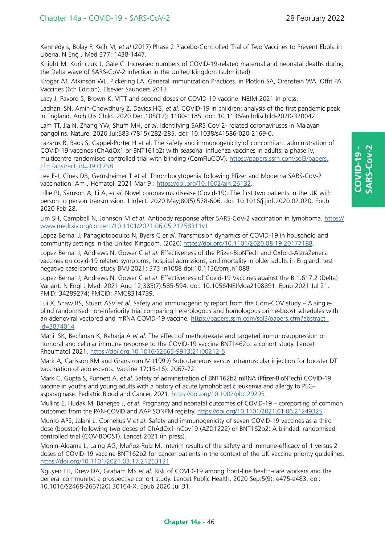Kennedy s, Bolay F, Keih M, *et al* (2017) Phase 2 Placebo-Controlled Trial of Two Vaccines to Prevent Ebola in Liberia. N Eng J Med 377: 1438-1447.

Knight M, Kurinczuk J, Gale C. Increased numbers of COVID-19-related maternal and neonatal deaths during the Delta wave of SARS-CoV-2 infection in the United Kingdom (submitted).

Kroger AT, Atkinson WL, Pickering LA. General immunization Practices. in Plotkin SA, Orenstein WA, Offit PA. Vaccines (6th Edition). Elsevier Saunders 2013.

Lacy J, Pavord S, Brown K. VITT and second doses of COVID-19 vaccine. NEJM 2021 in press.

Ladhani SN, Amin-Chowdhury Z, Davies HG, *et al.* COVID-19 in children: analysis of the first pandemic peak in England. Arch Dis Child. 2020 Dec;105(12): 1180-1185. doi: 10.1136/archdischild-2020-320042.

Lam TT, Jia N, Zhang YW, Shum MH, *et al*. Identifying SARS-CoV-2- related coronaviruses in Malayan pangolins. Nature. 2020 Jul;583 (7815):282-285. doi: 10.1038/s41586-020-2169-0.

Lazarus R, Baos S, Cappel-Porter H et al. The safety and immunogenicity of concomitant administration of COVID-19 vaccines (ChAdOx1 or BNT161b2) with seasonal influenza vaccines in adults: a phase IV, multicentre randomised controlled trial with blinding (ComFluCOV). [https://papers.ssrn.com/sol3/papers.](https://papers.ssrn.com/sol3/papers.cfm?abstract_id=3931758) [cfm?abstract\\_id=3931758](https://papers.ssrn.com/sol3/papers.cfm?abstract_id=3931758)

Lee E-J, Cines DB, Gernsheimer T et al. Thrombocytopenia following Pfizer and Moderna SARS-CoV-2 vaccination. Am J Hematol. 2021 Mar 9 :<https://doi.org/10.1002/ajh.26132>.

Lillie PJ, Samson A, Li A, *et al*. Novel coronavirus disease (Covid-19): The first two patients in the UK with person to person transmission. J Infect. 2020 May;80(5):578-606. doi: 10.1016/j.jinf.2020.02.020. Epub 2020 Feb 28.

Lim SH, Campbell N, Johnson M *et al*. Antibody response after SARS-CoV-2 vaccination in lymphoma. [https://](https://www.medrxiv.org/content/10.1101/2021.06.05.21258311v1) [www.medrxiv.org/content/10.1101/2021.06.05.21258311v1](https://www.medrxiv.org/content/10.1101/2021.06.05.21258311v1)

Lopez Bernal J, Panagiotopoulos N, Byers C *et al*. Transmission dynamics of COVID-19 in household and community settings in the United Kingdom. (2020) <https://doi.org/10.1101/2020.08.19.20177188>.

Lopez Bernal J, Andrews N, Gower C *et al*. Effectiveness of the Pfizer-BioNTech and Oxford-AstraZeneca vaccines on covid-19 related symptoms, hospital admissions, and mortality in older adults in England: test negative case-control study BMJ 2021; 373 :n1088 doi:10.1136/bmj.n1088

Lopez Bernal J, Andrews N, Gower C *et al*. Effectiveness of Covid-19 Vaccines against the B.1.617.2 (Delta) Variant. N Engl J Med. 2021 Aug 12;385(7):585-594. doi: 10.1056/NEJMoa2108891. Epub 2021 Jul 21. PMID: 34289274; PMCID: PMC8314739.

Lui X, Shaw RS, Stuart ASV *et al*. Safety and immunogenicity report from the Com-COV study – A singleblind randomised non-inferiority trial comparing heterologous and homologous prime-boost schedules with an adenoviral vectored and mRNA COVID-19 vaccine. [https://papers.ssrn.com/sol3/papers.cfm?abstract\\_](https://papers.ssrn.com/sol3/papers.cfm?abstract_id=3874014) [id=3874014](https://papers.ssrn.com/sol3/papers.cfm?abstract_id=3874014)

Mahil SK, Bechman K, Raharja A *et al*. The effect of methotrexate and targeted immunosuppression on humoral and cellular immune response to the COVID-19 vaccine BNT1462b: a cohort study. Lancet Rheumatol 2021. [https://doi.org.10.1016/S2665-9913\(21\)00212-5](https://doi.org.10.1016/S2665-9913(21)00212-5)

Mark A, Carlsson RM and Granstrom M (1999) Subcutaneous versus intramuscular injection for booster DT vaccination of adolescents. Vaccine 17(15-16): 2067-72.

Mark C, Gupta S, Punnett A, *et al*. Safety of administration of BNT162b2 mRNA (Pfizer-BioNTech) COVID-19 vaccine in youths and young adults with a history of acute lymphoblastic leukemia and allergy to PEGasparaginase. Pediatric Blood and Cancer, 2021.<https://doi.org/10.1002/pbc.29295>

Mullins E, Hudak M, Banerjee J, *et al*. Pregnancy and neonatal outcomes of COVID-19 – coreporting of common outcomes from the PAN-COVID and AAP SONPM registry.<https://doi.org/10.1101/2021.01.06.21249325>

Munro APS, Jalani L, Cornelius V *et al*. Safety and immunogenicity of seven COVID-19 vaccines as a third dose (booster) following two doses of ChAdOx1-nCov19 (AZD1222) or BNT162b2: A blinded, randomised controlled trial (COV-BOOST). Lancet 2021 (in press).

Monin-Aldama L, Laing AG, Muñoz-Ruiz M. Interim results of the safety and immune-efficacy of 1 versus 2 doses of COVID-19 vaccine BNT162b2 for cancer patients in the context of the UK vaccine priority guidelines. <https://doi.org/10.1101/2021.03.17.21253131>

Nguyen LH, Drew DA, Graham MS *et al*. Risk of COVID-19 among front-line health-care workers and the general community: a prospective cohort study. Lancet Public Health. 2020 Sep:5(9): e475-e483. doi: 10.1016/S2468-2667(20) 30164-X. Epub 2020 Jul 31.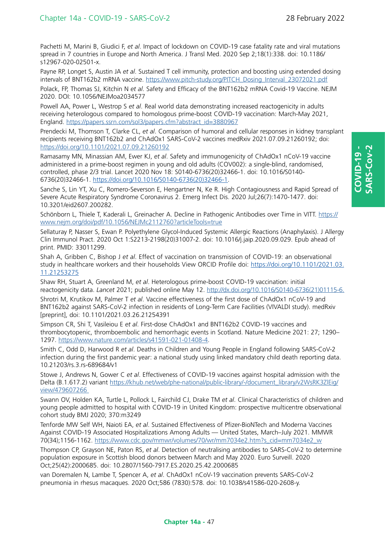**COVID-19 - SARS-Cov-2**

ARS-Cov-2  $20$ VID-19

Pachetti M, Marini B, Giudici F, *et al*. Impact of lockdown on COVID-19 case fatality rate and viral mutations spread in 7 countries in Europe and North America. J Transl Med. 2020 Sep 2;18(1):338. doi: 10.1186/ s12967-020-02501-x.

Payne RP, Longet S, Austin JA *et al*. Sustained T cell immunity, protection and boosting using extended dosing intervals of BNT162b2 mRNA vaccine. [https://www.pitch-study.org/PITCH\\_Dosing\\_Interval\\_23072021.pdf](https://www.pitch-study.org/PITCH_Dosing_Interval_23072021.pdf)

Polack, FP, Thomas SJ, Kitchin N *et al*. Safety and Efficacy of the BNT162b2 mRNA Covid-19 Vaccine. NEJM 2020. DOI: 10.1056/NEJMoa2034577

Powell AA, Power L, Westrop S *et al*. Real world data demonstrating increased reactogenicity in adults receiving heterologous compared to homologous prime-boost COVID-19 vaccination: March-May 2021, England. [https://papers.ssrn.com/sol3/papers.cfm?abstract\\_id=3880967](https://papers.ssrn.com/sol3/papers.cfm?abstract_id=3880967)

Prendecki M, Thomson T, Clarke CL, *et al*. Comparison of humoral and cellular responses in kidney transplant recipients receiving BNT162b2 and ChAdOx1 SARS-CoV-2 vaccines medRxiv 2021.07.09.21260192; doi: <https://doi.org/10.1101/2021.07.09.21260192>

Ramasamy MN, Minassian AM, Ewer KJ, *et al*. Safety and immunogenicity of ChAdOx1 nCoV-19 vaccine administered in a prime-boost regimen in young and old adults (COV002): a single-blind, randomised, controlled, phase 2/3 trial. Lancet 2020 Nov 18: S0140-6736(20)32466-1. doi: 10.1016/S0140- 6736(20)32466-1. [https://doi.org/10.1016/S0140-6736\(20\)32466-1](https://doi.org/10.1016/S0140-6736(20)32466-1).

Sanche S, Lin YT, Xu C, Romero-Severson E, Hengartner N, Ke R. High Contagiousness and Rapid Spread of Severe Acute Respiratory Syndrome Coronavirus 2. Emerg Infect Dis. 2020 Jul;26(7):1470-1477. doi: 10.3201/eid2607.200282.

Schönborn L, Thiele T, Kaderali L, Greinacher A. Decline in Pathogenic Antibodies over Time in VITT. [https://](https://www.nejm.org/doi/pdf/10.1056/NEJMc2112760?articleTools=true) [www.nejm.org/doi/pdf/10.1056/NEJMc2112760?articleTools=true](https://www.nejm.org/doi/pdf/10.1056/NEJMc2112760?articleTools=true)

Sellaturay P, Nasser S, Ewan P. Polyethylene Glycol-Induced Systemic Allergic Reactions (Anaphylaxis). J Allergy Clin Immunol Pract. 2020 Oct 1:S2213-2198(20)31007-2. doi: 10.1016/j.jaip.2020.09.029. Epub ahead of print. PMID: 33011299.

Shah A, Gribben C, Bishop J *et al*. Effect of vaccination on transmission of COVID-19: an observational study in healthcare workers and their households View ORCID Profile doi: [https://doi.org/10.1101/2021.03.](https://doi.org/10.1101/2021.03.11.21253275) [11.21253275](https://doi.org/10.1101/2021.03.11.21253275)

Shaw RH, Stuart A, Greenland M, *et al*. Heterologous prime-boost COVID-19 vaccination: initial reactogenicity data. *Lancet* 2021; published online May 12. [http://dx.doi.org/10.1016/S0140-6736\(21\)01115-6.](http://dx.doi.org/10.1016/S0140-6736(21)01115-6.) Shrotri M, Krutikov M, Palmer T *et al*. Vaccine effectiveness of the first dose of ChAdOx1 nCoV-19 and BNT162b2 against SARS-CoV-2 infection in residents of Long-Term Care Facilities (VIVALDI study). medRxiv [preprint], doi: 10.1101/2021.03.26.21254391

Simpson CR, Shi T, Vasileiou E *et al*. First-dose ChAdOx1 and BNT162b2 COVID-19 vaccines and thrombocytopenic, thromboembolic and hemorrhagic events in Scotland. Nature Medicine 2021: 27; 1290– 1297.<https://www.nature.com/articles/s41591-021-01408-4>.

Smith C, Odd D, Harwood R *et al*. Deaths in Children and Young People in England following SARS-CoV-2 infection during the first pandemic year: a national study using linked mandatory child death reporting data. 10.21203/rs.3.rs-689684/v1

Stowe J, Andrews N, Gower C *et al*. Effectiveness of COVID-19 vaccines against hospital admission with the Delta (B.1.617.2) variant [https://khub.net/web/phe-national/public-library/-/document\\_library/v2WsRK3ZlEig/](https://khub.net/web/phe-national/public-library/-/document_library/v2WsRK3ZlEig/view/479607266) [view/479607266](https://khub.net/web/phe-national/public-library/-/document_library/v2WsRK3ZlEig/view/479607266) 

Swann OV, Holden KA, Turtle L, Pollock L, Fairchild CJ, Drake TM *et al*. Clinical Characteristics of children and young people admitted to hospital with COVID-19 in United Kingdom: prospective multicentre observational cohort study BMJ 2020; 370:m3249

Tenforde MW Self WH, Naioti EA, *et al*. Sustained Effectiveness of Pfizer-BioNTech and Moderna Vaccines Against COVID-19 Associated Hospitalizations Among Adults — United States, March–July 2021. MMWR 70(34);1156-1162. [https://www.cdc.gov/mmwr/volumes/70/wr/mm7034e2.htm?s\\_cid=mm7034e2\\_w](https://www.cdc.gov/mmwr/volumes/70/wr/mm7034e2.htm?s_cid=mm7034e2_w)

Thompson CP, Grayson NE, Paton RS, *et al*. Detection of neutralising antibodies to SARS-CoV-2 to determine population exposure in Scottish blood donors between March and May 2020. Euro Surveill. 2020 Oct;25(42):2000685. doi: 10.2807/1560-7917.ES.2020.25.42.2000685

van Doremalen N, Lambe T, Spencer A, *et al*. ChAdOx1 nCoV-19 vaccination prevents SARS-CoV-2 pneumonia in rhesus macaques. 2020 Oct;586 (7830):578. doi: 10.1038/s41586-020-2608-y.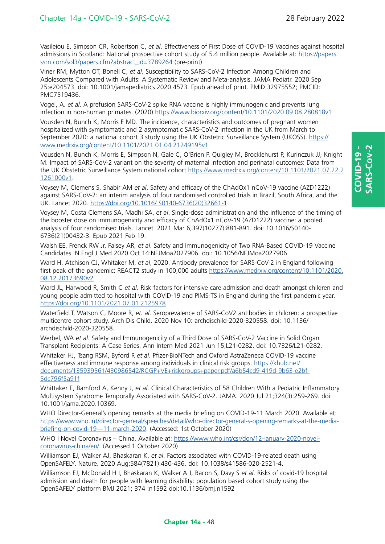Vasileiou E, Simpson CR, Robertson C, *et al*. Effectiveness of First Dose of COVID-19 Vaccines against hospital admissions in Scotland: National prospective cohort study of 5.4 million people. Available at: [https://papers.](https://papers.ssrn.com/sol3/papers.cfm?abstract_id=3789264) [ssrn.com/sol3/papers.cfm?abstract\\_id=3789264](https://papers.ssrn.com/sol3/papers.cfm?abstract_id=3789264) (pre-print)

Viner RM, Mytton OT, Bonell C, *et al*. Susceptibility to SARS-CoV-2 Infection Among Children and Adolescents Compared with Adults: A Systematic Review and Meta-analysis. JAMA Pediatr. 2020 Sep 25:e204573. doi: 10.1001/jamapediatrics.2020.4573. Epub ahead of print. PMID:32975552; PMCID: PMC7519436.

Vogel, A. *et al*. A prefusion SARS-CoV-2 spike RNA vaccine is highly immunogenic and prevents lung infection in non-human primates. (2020) <https://www.biorxiv.org/content/10.1101/2020.09.08.280818v1>

Vousden N, Bunch K, Morris E MD. The incidence, characteristics and outcomes of pregnant women hospitalized with symptomatic and 2 asymptomatic SARS-CoV-2 infection in the UK from March to September 2020: a national cohort 3 study using the UK Obstetric Surveillance System (UKOSS). [https://](https://www.medrxiv.org/content/10.1101/2021.01.04.21249195v1) [www.medrxiv.org/content/10.1101/2021.01.04.21249195v1](https://www.medrxiv.org/content/10.1101/2021.01.04.21249195v1)

Vousden N, Bunch K, Morris E, Simpson N, Gale C, O'Brien P, Quigley M, Brocklehurst P, Kurinczuk JJ, Knight M. Impact of SARS-CoV-2 variant on the severity of maternal infection and perinatal outcomes: Data from the UK Obstetric Surveillance System national cohort [https://www.medrxiv.org/content/10.1101/2021.07.22.2](https://www.medrxiv.org/content/10.1101/2021.07.22.21261000v1) [1261000v1](https://www.medrxiv.org/content/10.1101/2021.07.22.21261000v1).

Voysey M, Clemens S, Shabir AM *et al*. Safety and efficacy of the ChAdOx1 nCoV-19 vaccine (AZD1222) against SARS-CoV-2: an interim analysis of four randomised controlled trials in Brazil, South Africa, and the UK. Lancet 2020. [https://doi.org/10.1016/ S0140-6736\(20\)32661-1](https://doi.org/10.1016/ S0140-6736(20)32661-1)

Voysey M, Costa Clemens SA, Madhi SA, *et al*. Single-dose administration and the influence of the timing of the booster dose on immunogenicity and efficacy of ChAdOx1 nCoV-19 (AZD1222) vaccine: a pooled analysis of four randomised trials. Lancet. 2021 Mar 6;397(10277):881-891. doi: 10.1016/S0140- 6736(21)00432-3. Epub 2021 Feb 19.

Walsh EE, Frenck RW Jr, Falsey AR, *et al*. Safety and Immunogenicity of Two RNA-Based COVID-19 Vaccine Candidates. N Engl J Med 2020 Oct 14:NEJMoa2027906. doi: 10.1056/NEJMoa2027906

Ward H, Atchison CJ, Whitaker M, *et al*, 2020. Antibody prevalence for SARS-CoV-2 in England following first peak of the pandemic: REACT2 study in 100,000 adults [https://www.medrxiv.org/content/10.1101/2020.](https://www.medrxiv.org/content/10.1101/2020.08.12.20173690v2) [08.12.20173690v2](https://www.medrxiv.org/content/10.1101/2020.08.12.20173690v2)

Ward JL, Harwood R, Smith C *et al*. Risk factors for intensive care admission and death amongst children and young people admitted to hospital with COVID-19 and PIMS-TS in England during the first pandemic year. <https://doi.org/10.1101/2021.07.01.2125978>

Waterfield T, Watson C, Moore R, *et. al*. Seroprevalence of SARS-CoV2 antibodies in children: a prospective multicentre cohort study. Arch Dis Child. 2020 Nov 10: archdischild-2020-320558. doi: 10.1136/ archdischild-2020-320558.

Werbel, WA *et al*. Safety and Immunogenicity of a Third Dose of SARS-CoV-2 Vaccine in Solid Organ Transplant Recipients: A Case Series. Ann Intern Med 2021 Jun 15;L21-0282. doi: 10.7326/L21-0282.

Whitaker HJ, Tsang RSM, Byford R *et al*. Pfizer-BioNTech and Oxford AstraZeneca COVID-19 vaccine effectiveness and immune response among individuals in clinical risk groups. [https://khub.net/](https://khub.net/documents/135939561/430986542/RCGP+VE+riskgroups+paper.pdf/a6b54cd9-419d-9b63-e2bf-5dc796f5a91f) [documents/135939561/430986542/RCGP+VE+riskgroups+paper.pdf/a6b54cd9-419d-9b63-e2bf-](https://khub.net/documents/135939561/430986542/RCGP+VE+riskgroups+paper.pdf/a6b54cd9-419d-9b63-e2bf-5dc796f5a91f)[5dc796f5a91f](https://khub.net/documents/135939561/430986542/RCGP+VE+riskgroups+paper.pdf/a6b54cd9-419d-9b63-e2bf-5dc796f5a91f)

Whittaker E, Bamford A, Kenny J, *et al*. Clinical Characteristics of 58 Children With a Pediatric Inflammatory Multisystem Syndrome Temporally Associated with SARS-CoV-2. JAMA. 2020 Jul 21;324(3):259-269. doi: 10.1001/jama.2020.10369.

WHO Director-General's opening remarks at the media briefing on COVID-19-11 March 2020. Available at: [https://www.who.int/director-general/speeches/detail/who-director-general-s-opening-remarks-at-the-media](https://www.who.int/director-general/speeches/detail/who-director-general-s-opening-remarks-at-the-media-briefing-on-covid-19---11-march-2020)[briefing-on-covid-19---11-march-2020](https://www.who.int/director-general/speeches/detail/who-director-general-s-opening-remarks-at-the-media-briefing-on-covid-19---11-march-2020). (Accessed: 1st October 2020)

WHO I Novel Coronavirus – China. Available at: [https://www.who.int/csr/don/12-january-2020-novel](https://www.who.int/csr/don/12-january-2020-novel-coronavirus-china/en/)[coronavirus-china/en/](https://www.who.int/csr/don/12-january-2020-novel-coronavirus-china/en/). (Accessed 1 October 2020)

Williamson EJ, Walker AJ, Bhaskaran K, *et al*. Factors associated with COVID-19-related death using OpenSAFELY. Nature. 2020 Aug;584(7821):430-436. doi: 10.1038/s41586-020-2521-4.

Williamson EJ, McDonald H I, Bhaskaran K, Walker A J, Bacon S, Davy S *et al*. Risks of covid-19 hospital admission and death for people with learning disability: population based cohort study using the OpenSAFELY platform BMJ 2021; 374 :n1592 doi:10.1136/bmj.n1592